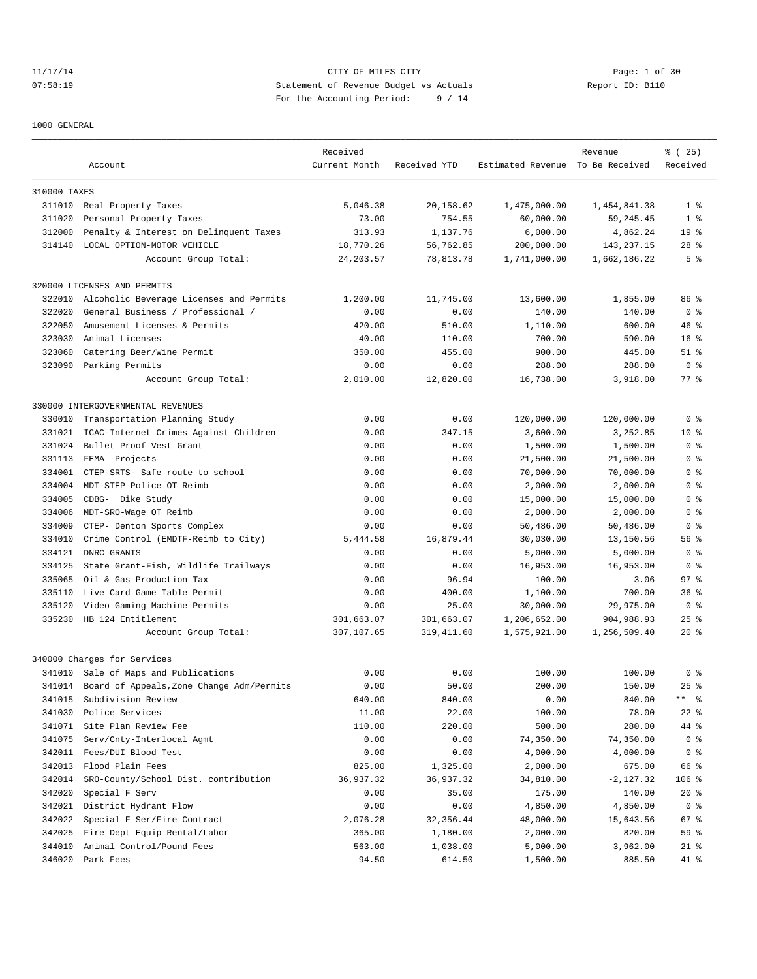# 11/17/14 CITY OF MILES CITY Page: 1 of 30 07:58:19 Statement of Revenue Budget vs Actuals Report ID: B110 For the Accounting Period: 9 / 14

1000 GENERAL

|              | Account                                            | Received<br>Current Month | Received YTD              | Estimated Revenue To Be Received | Revenue                    | % (25)<br>Received   |
|--------------|----------------------------------------------------|---------------------------|---------------------------|----------------------------------|----------------------------|----------------------|
|              |                                                    |                           |                           |                                  |                            |                      |
| 310000 TAXES |                                                    |                           |                           |                                  |                            |                      |
| 311010       | Real Property Taxes                                | 5,046.38                  | 20,158.62                 | 1,475,000.00                     | 1,454,841.38               | 1 <sup>8</sup>       |
| 311020       | Personal Property Taxes                            | 73.00                     | 754.55                    | 60,000.00                        | 59, 245.45                 | 1 <sup>8</sup>       |
| 312000       | Penalty & Interest on Delinquent Taxes             | 313.93                    | 1,137.76                  | 6,000.00                         | 4,862.24                   | 19 <sup>°</sup>      |
| 314140       | LOCAL OPTION-MOTOR VEHICLE                         | 18,770.26                 | 56,762.85                 | 200,000.00                       | 143, 237. 15               | $28$ %               |
|              | Account Group Total:                               | 24, 203.57                | 78,813.78                 | 1,741,000.00                     | 1,662,186.22               | 5 <sup>8</sup>       |
|              | 320000 LICENSES AND PERMITS                        |                           |                           |                                  |                            |                      |
| 322010       | Alcoholic Beverage Licenses and Permits            | 1,200.00                  | 11,745.00                 | 13,600.00                        | 1,855.00                   | 86%                  |
| 322020       | General Business / Professional /                  | 0.00                      | 0.00                      | 140.00                           | 140.00                     | 0 <sup>8</sup>       |
| 322050       | Amusement Licenses & Permits                       | 420.00                    | 510.00                    | 1,110.00                         | 600.00                     | $46*$                |
| 323030       | Animal Licenses                                    | 40.00                     | 110.00                    | 700.00                           | 590.00                     | 16 <sup>8</sup>      |
| 323060       | Catering Beer/Wine Permit                          | 350.00                    | 455.00                    | 900.00                           | 445.00                     | $51$ %               |
|              | 323090 Parking Permits                             | 0.00                      | 0.00                      | 288.00                           | 288.00                     | 0 <sup>8</sup>       |
|              | Account Group Total:                               | 2,010.00                  | 12,820.00                 | 16,738.00                        | 3,918.00                   | $77$ $%$             |
|              | 330000 INTERGOVERNMENTAL REVENUES                  |                           |                           |                                  |                            |                      |
| 330010       | Transportation Planning Study                      | 0.00                      | 0.00                      | 120,000.00                       | 120,000.00                 | 0 <sup>8</sup>       |
| 331021       | ICAC-Internet Crimes Against Children              | 0.00                      | 347.15                    | 3,600.00                         | 3,252.85                   | $10*$                |
| 331024       | Bullet Proof Vest Grant                            | 0.00                      | 0.00                      | 1,500.00                         | 1,500.00                   | 0 <sup>8</sup>       |
| 331113       | FEMA -Projects                                     | 0.00                      | 0.00                      | 21,500.00                        | 21,500.00                  | 0 %                  |
| 334001       | CTEP-SRTS- Safe route to school                    | 0.00                      | 0.00                      | 70,000.00                        | 70,000.00                  | 0 <sup>8</sup>       |
| 334004       | MDT-STEP-Police OT Reimb                           | 0.00                      | 0.00                      | 2,000.00                         | 2,000.00                   | 0 <sup>8</sup>       |
| 334005       | CDBG- Dike Study                                   | 0.00                      | 0.00                      | 15,000.00                        | 15,000.00                  | 0 <sup>8</sup>       |
| 334006       | MDT-SRO-Wage OT Reimb                              | 0.00                      | 0.00                      | 2,000.00                         | 2,000.00                   | 0 <sup>8</sup>       |
| 334009       | CTEP- Denton Sports Complex                        | 0.00                      | 0.00                      | 50,486.00                        | 50,486.00                  | 0 %                  |
| 334010       | Crime Control (EMDTF-Reimb to City)                | 5,444.58                  | 16,879.44                 | 30,030.00                        | 13,150.56                  | 56%                  |
| 334121       | DNRC GRANTS                                        | 0.00                      | 0.00                      | 5,000.00                         | 5,000.00                   | 0 <sup>8</sup>       |
| 334125       | State Grant-Fish, Wildlife Trailways               | 0.00                      | 0.00                      | 16,953.00                        | 16,953.00                  | 0 <sup>8</sup>       |
| 335065       | Oil & Gas Production Tax                           | 0.00                      | 96.94                     | 100.00                           | 3.06                       | 97%                  |
| 335110       | Live Card Game Table Permit                        | 0.00                      | 400.00                    | 1,100.00                         | 700.00                     | 36 <sup>8</sup>      |
| 335120       |                                                    | 0.00                      | 25.00                     |                                  |                            | 0 <sup>8</sup>       |
| 335230       | Video Gaming Machine Permits<br>HB 124 Entitlement |                           |                           | 30,000.00                        | 29,975.00                  | $25$ %               |
|              | Account Group Total:                               | 301,663.07<br>307,107.65  | 301,663.07<br>319, 411.60 | 1,206,652.00<br>1,575,921.00     | 904,988.93<br>1,256,509.40 | $20*$                |
|              |                                                    |                           |                           |                                  |                            |                      |
|              | 340000 Charges for Services                        |                           |                           |                                  |                            |                      |
|              | 341010 Sale of Maps and Publications               | 0.00                      | 0.00                      | 100.00                           | 100.00                     | 0 <sup>8</sup>       |
| 341014       | Board of Appeals, Zone Change Adm/Permits          | 0.00                      | 50.00                     | 200.00                           | 150.00                     | $25$ %               |
| 341015       | Subdivision Review                                 | 640.00                    | 840.00                    | 0.00                             | $-840.00$                  | $***$ $ \frac{6}{9}$ |
| 341030       | Police Services                                    | 11.00                     | 22.00                     | 100.00                           | 78.00                      | $22$ %               |
| 341071       | Site Plan Review Fee                               | 110.00                    | 220.00                    | 500.00                           | 280.00                     | 44 %                 |
| 341075       | Serv/Cnty-Interlocal Agmt                          | 0.00                      | 0.00                      | 74,350.00                        | 74,350.00                  | 0 <sub>8</sub>       |
| 342011       | Fees/DUI Blood Test                                | 0.00                      | 0.00                      | 4,000.00                         | 4,000.00                   | 0 <sub>8</sub>       |
| 342013       | Flood Plain Fees                                   | 825.00                    | 1,325.00                  | 2,000.00                         | 675.00                     | 66 %                 |
| 342014       | SRO-County/School Dist. contribution               | 36,937.32                 | 36,937.32                 | 34,810.00                        | $-2,127.32$                | 106 %                |
| 342020       | Special F Serv                                     | 0.00                      | 35.00                     | 175.00                           | 140.00                     | $20*$                |
| 342021       | District Hydrant Flow                              | 0.00                      | 0.00                      | 4,850.00                         | 4,850.00                   | 0 <sup>8</sup>       |
| 342022       | Special F Ser/Fire Contract                        | 2,076.28                  | 32,356.44                 | 48,000.00                        | 15,643.56                  | 67 %                 |
| 342025       | Fire Dept Equip Rental/Labor                       | 365.00                    | 1,180.00                  | 2,000.00                         | 820.00                     | 59 %                 |
| 344010       | Animal Control/Pound Fees                          | 563.00                    | 1,038.00                  | 5,000.00                         | 3,962.00                   | $21$ %               |
|              | 346020 Park Fees                                   | 94.50                     | 614.50                    | 1,500.00                         | 885.50                     | 41 %                 |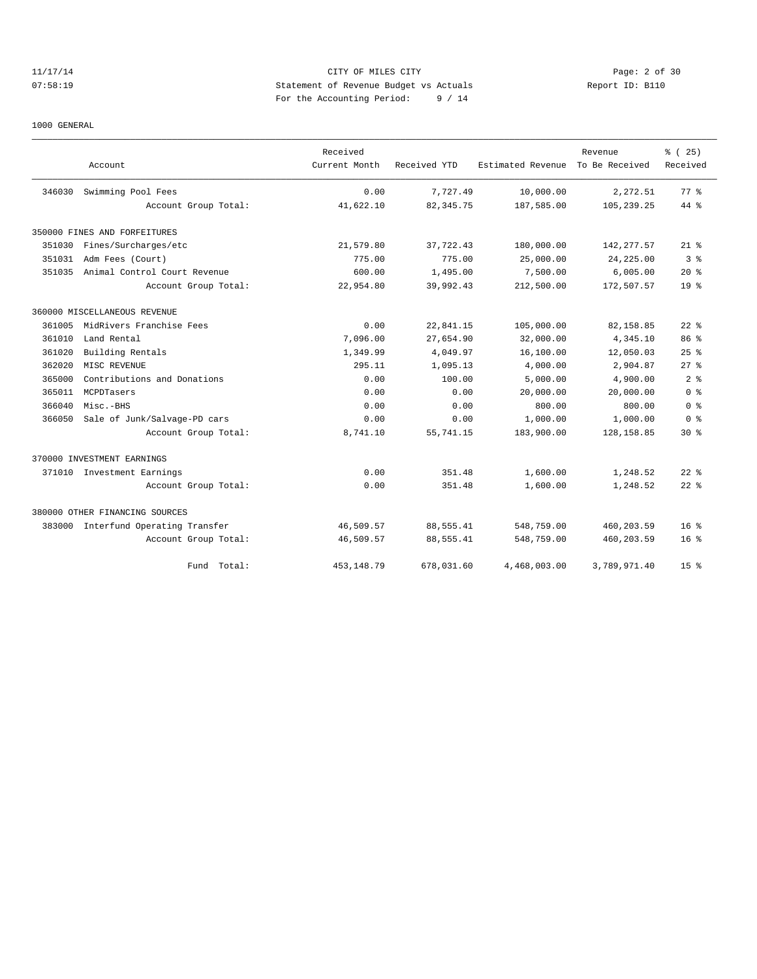# 11/17/14 CITY OF MILES CITY Page: 2 of 30 07:58:19 Statement of Revenue Budget vs Actuals Report ID: B110 For the Accounting Period: 9 / 14

1000 GENERAL

|        |                                     | Received      |              |                   | Revenue        | % (25)             |
|--------|-------------------------------------|---------------|--------------|-------------------|----------------|--------------------|
|        | Account                             | Current Month | Received YTD | Estimated Revenue | To Be Received | Received           |
| 346030 | Swimming Pool Fees                  | 0.00          | 7.727.49     | 10,000.00         | 2,272.51       | 77.8               |
|        | Account Group Total:                | 41,622.10     | 82, 345.75   | 187,585.00        | 105,239.25     | $44*$              |
|        | 350000 FINES AND FORFEITURES        |               |              |                   |                |                    |
| 351030 | Fines/Surcharges/etc                | 21,579.80     | 37,722.43    | 180,000.00        | 142, 277.57    | $21$ %             |
| 351031 | Adm Fees (Court)                    | 775.00        | 775.00       | 25,000.00         | 24, 225.00     | 3 <sup>8</sup>     |
| 351035 | Animal Control Court Revenue        | 600.00        | 1,495.00     | 7,500.00          | 6,005.00       | $20*$              |
|        | Account Group Total:                | 22,954.80     | 39,992.43    | 212,500.00        | 172,507.57     | 19 <sup>°</sup>    |
|        | 360000 MISCELLANEOUS REVENUE        |               |              |                   |                |                    |
| 361005 | MidRivers Franchise Fees            | 0.00          | 22,841.15    | 105,000.00        | 82,158.85      | $22$ $%$           |
| 361010 | Land Rental                         | 7,096.00      | 27,654.90    | 32,000.00         | 4,345.10       | 86 %               |
| 361020 | Building Rentals                    | 1,349.99      | 4,049.97     | 16,100.00         | 12,050.03      | $25$ $\frac{6}{5}$ |
| 362020 | MISC REVENUE                        | 295.11        | 1,095.13     | 4,000.00          | 2,904.87       | 27%                |
| 365000 | Contributions and Donations         | 0.00          | 100.00       | 5,000.00          | 4,900.00       | 2 <sup>8</sup>     |
| 365011 | MCPDTasers                          | 0.00          | 0.00         | 20,000.00         | 20,000.00      | 0 <sup>8</sup>     |
| 366040 | Misc.-BHS                           | 0.00          | 0.00         | 800.00            | 800.00         | 0 <sup>8</sup>     |
| 366050 | Sale of Junk/Salvage-PD cars        | 0.00          | 0.00         | 1,000.00          | 1,000.00       | 0 <sup>8</sup>     |
|        | Account Group Total:                | 8,741.10      | 55,741.15    | 183,900.00        | 128, 158.85    | $30*$              |
|        | 370000 INVESTMENT EARNINGS          |               |              |                   |                |                    |
|        | 371010 Investment Earnings          | 0.00          | 351.48       | 1,600.00          | 1,248.52       | $22$ $%$           |
|        | Account Group Total:                | 0.00          | 351.48       | 1,600.00          | 1,248.52       | $22$ $%$           |
|        | 380000 OTHER FINANCING SOURCES      |               |              |                   |                |                    |
|        | 383000 Interfund Operating Transfer | 46,509.57     | 88,555.41    | 548,759.00        | 460,203.59     | $16*$              |
|        | Account Group Total:                | 46,509.57     | 88,555.41    | 548,759.00        | 460,203.59     | $16*$              |
|        | Total:<br>Fund                      | 453,148.79    | 678,031.60   | 4,468,003.00      | 3,789,971.40   | 15 <sup>8</sup>    |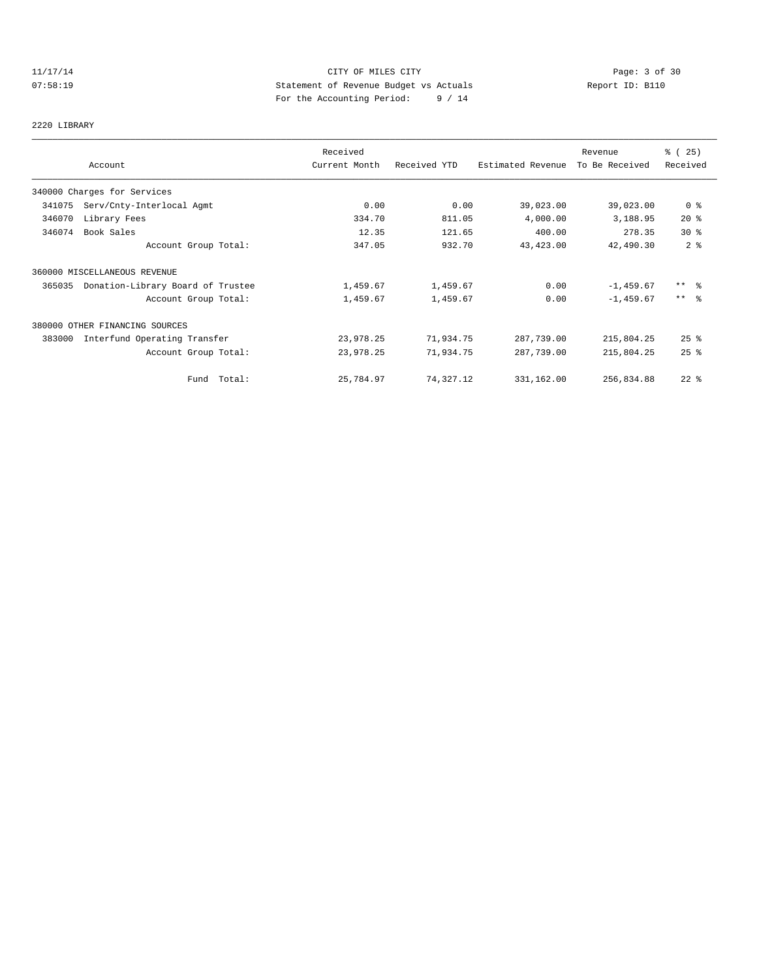# 11/17/14 CITY OF MILES CITY Page: 3 of 30 07:58:19 Statement of Revenue Budget vs Actuals Report ID: B110 For the Accounting Period: 9 / 14

## 2220 LIBRARY

|        | Account                           | Received<br>Current Month | Received YTD | Estimated Revenue | Revenue<br>To Be Received | % (25)<br>Received |
|--------|-----------------------------------|---------------------------|--------------|-------------------|---------------------------|--------------------|
|        |                                   |                           |              |                   |                           |                    |
|        | 340000 Charges for Services       |                           |              |                   |                           |                    |
| 341075 | Serv/Cnty-Interlocal Agmt         | 0.00                      | 0.00         | 39,023.00         | 39,023.00                 | 0 <sup>8</sup>     |
| 346070 | Library Fees                      | 334.70                    | 811.05       | 4,000.00          | 3,188.95                  | $20*$              |
| 346074 | Book Sales                        | 12.35                     | 121.65       | 400.00            | 278.35                    | $30*$              |
|        | Account Group Total:              | 347.05                    | 932.70       | 43, 423.00        | 42,490.30                 | 2 <sup>8</sup>     |
|        | 360000 MISCELLANEOUS REVENUE      |                           |              |                   |                           |                    |
| 365035 | Donation-Library Board of Trustee | 1,459.67                  | 1,459.67     | 0.00              | $-1,459.67$               | $***$ %            |
|        | Account Group Total:              | 1,459.67                  | 1,459.67     | 0.00              | $-1, 459.67$              | $***$ $ -$         |
|        | 380000 OTHER FINANCING SOURCES    |                           |              |                   |                           |                    |
| 383000 | Interfund Operating Transfer      | 23,978.25                 | 71,934.75    | 287,739.00        | 215,804.25                | $25$ %             |
|        | Account Group Total:              | 23,978.25                 | 71,934.75    | 287,739.00        | 215,804.25                | 25%                |
|        | Fund Total:                       | 25,784.97                 | 74,327.12    | 331,162.00        | 256,834.88                | $22$ %             |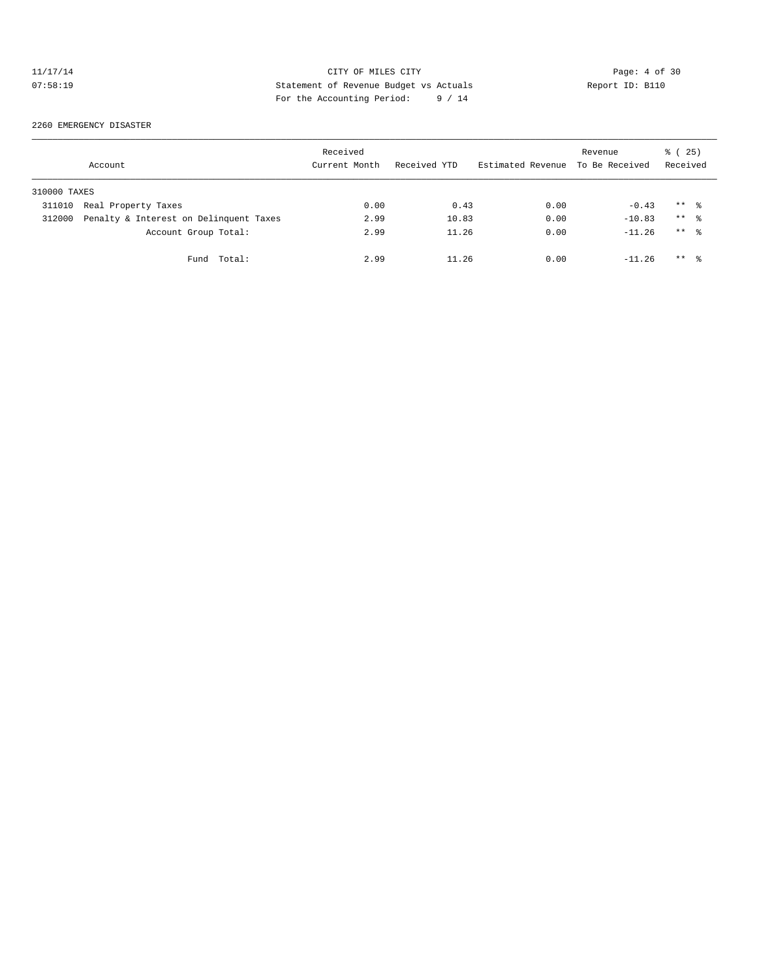# 11/17/14 CITY OF MILES CITY CHES CONTRACT Page: 4 of 30<br>07:58:19 Statement of Revenue Budget vs Actuals Report ID: B110<br>For the Accumular Deviced: 2011 07:58:19 Statement of Revenue Budget vs Actuals Report ID: B110 For the Accounting Period: 9 / 14

2260 EMERGENCY DISASTER

|              | Account                                | Received<br>Current Month | Received YTD | Estimated Revenue | Revenue<br>To Be Received | 25)<br>ී (<br>Received |
|--------------|----------------------------------------|---------------------------|--------------|-------------------|---------------------------|------------------------|
| 310000 TAXES |                                        |                           |              |                   |                           |                        |
| 311010       | Real Property Taxes                    | 0.00                      | 0.43         | 0.00              | $-0.43$                   | $***$ %                |
| 312000       | Penalty & Interest on Delinquent Taxes | 2.99                      | 10.83        | 0.00              | $-10.83$                  | $***$ %                |
|              | Account Group Total:                   | 2.99                      | 11.26        | 0.00              | $-11.26$                  | $***$ $\approx$        |
|              | Fund Total:                            | 2.99                      | 11.26        | 0.00              | $-11.26$                  | $***$ %                |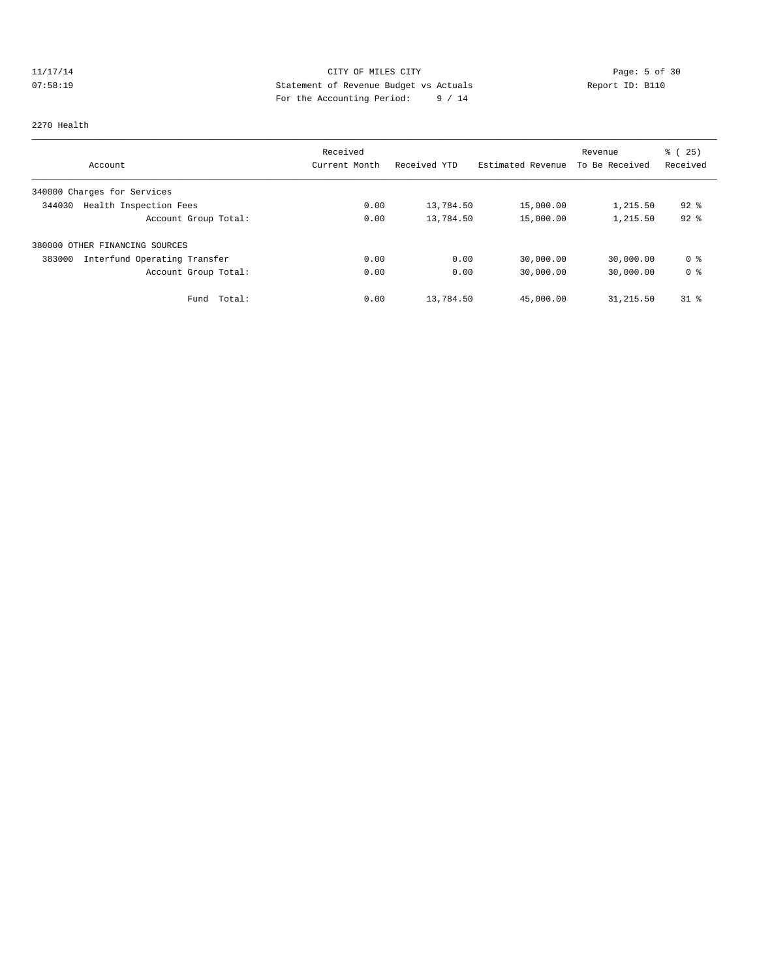# 11/17/14 CITY OF MILES CITY Page: 5 of 30 07:58:19 Statement of Revenue Budget vs Actuals  $\sum_{n=1}^{\infty}$  Report ID: B110 For the Accounting Period: 9 / 14

#### 2270 Health

|                                        | Received      |              |                   | Revenue        | % (25)         |
|----------------------------------------|---------------|--------------|-------------------|----------------|----------------|
| Account                                | Current Month | Received YTD | Estimated Revenue | To Be Received | Received       |
| 340000 Charges for Services            |               |              |                   |                |                |
| Health Inspection Fees<br>344030       | 0.00          | 13,784.50    | 15,000.00         | 1,215.50       | $92$ $%$       |
| Account Group Total:                   | 0.00          | 13,784.50    | 15,000.00         | 1,215.50       | $92$ $%$       |
| 380000 OTHER FINANCING SOURCES         |               |              |                   |                |                |
| Interfund Operating Transfer<br>383000 | 0.00          | 0.00         | 30,000.00         | 30,000.00      | 0 %            |
| Account Group Total:                   | 0.00          | 0.00         | 30,000.00         | 30,000.00      | 0 <sup>8</sup> |
| Total:<br>Fund                         | 0.00          | 13,784.50    | 45,000.00         | 31,215.50      | $31$ $\approx$ |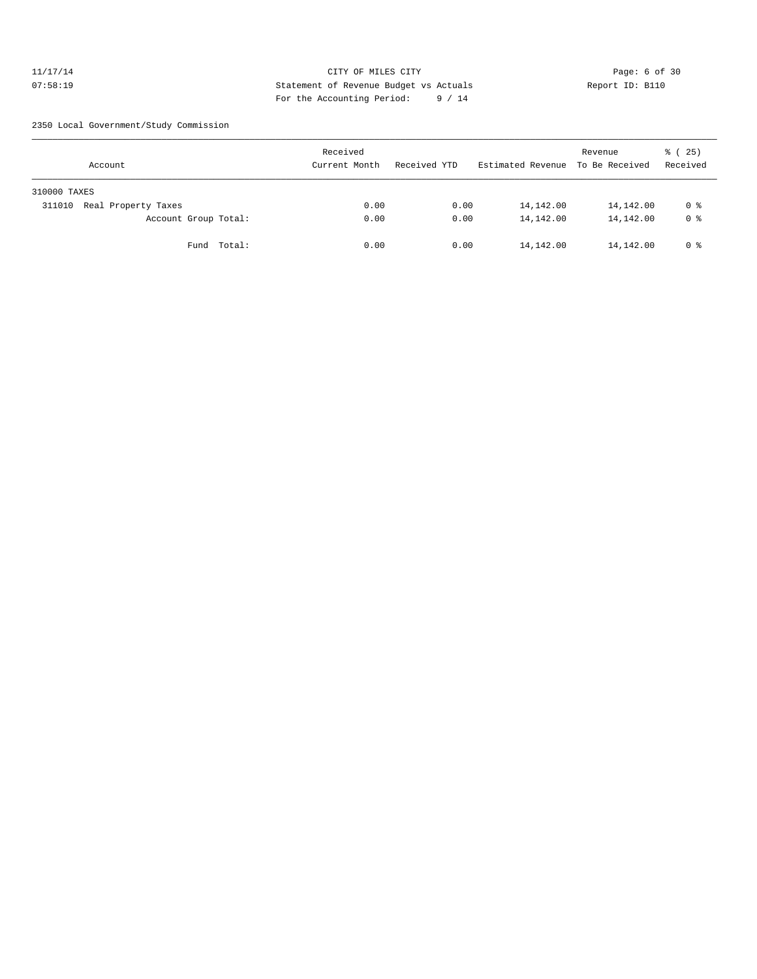## 11/17/14 CITY OF MILES CITY Page: 6 of 30 07:58:19 Statement of Revenue Budget vs Actuals Report ID: B110 For the Accounting Period: 9 / 14

2350 Local Government/Study Commission

| Account                       | Received<br>Current Month | Received YTD | Estimated Revenue | Revenue<br>To Be Received | 8 (25)<br>Received |
|-------------------------------|---------------------------|--------------|-------------------|---------------------------|--------------------|
| 310000 TAXES                  |                           |              |                   |                           |                    |
| Real Property Taxes<br>311010 | 0.00                      | 0.00         | 14,142.00         | 14,142.00                 | 0 %                |
| Account Group Total:          | 0.00                      | 0.00         | 14,142.00         | 14,142.00                 | 0 <sup>8</sup>     |
| Fund Total:                   | 0.00                      | 0.00         | 14,142.00         | 14,142.00                 | 0 %                |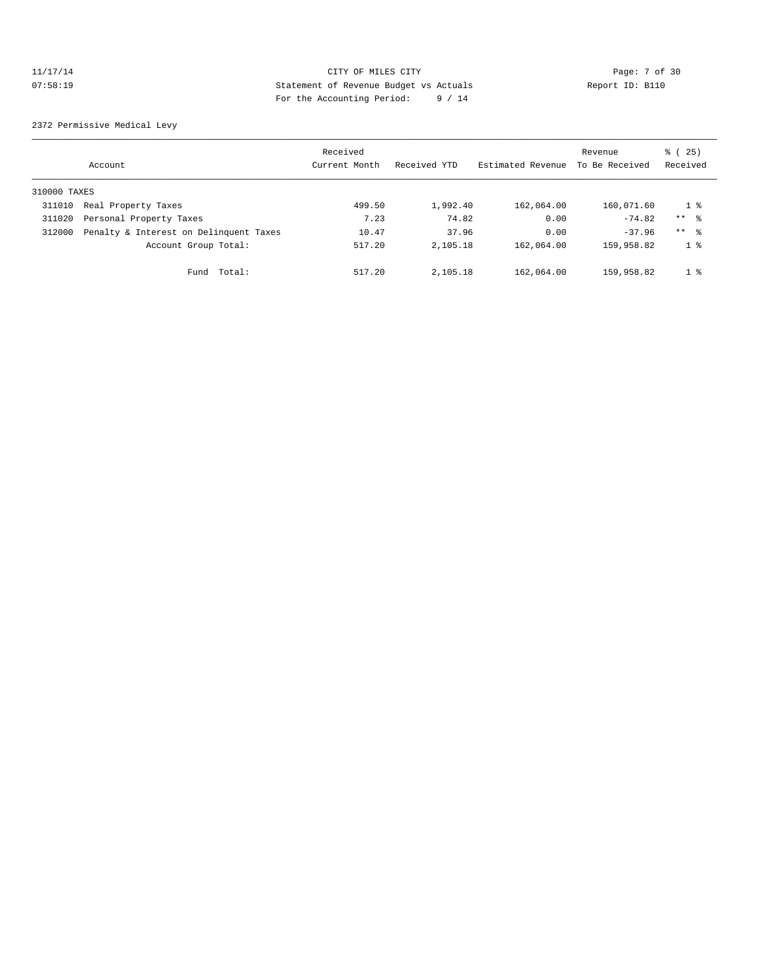## 11/17/14 CITY OF MILES CITY CHES CITY Page: 7 of 30<br>07:58:19 Statement of Revenue Budget vs Actuals Report ID: B110 07:58:19 Statement of Revenue Budget vs Actuals Report ID: B110 For the Accounting Period: 9 / 14

2372 Permissive Medical Levy

|              | Account                                | Received<br>Current Month | Received YTD | Estimated Revenue | Revenue<br>To Be Received | 25)<br>ී (<br>Received |
|--------------|----------------------------------------|---------------------------|--------------|-------------------|---------------------------|------------------------|
| 310000 TAXES |                                        |                           |              |                   |                           |                        |
| 311010       | Real Property Taxes                    | 499.50                    | 1,992.40     | 162,064.00        | 160,071.60                | 1 %                    |
| 311020       | Personal Property Taxes                | 7.23                      | 74.82        | 0.00              | $-74.82$                  | $***$ 8                |
| 312000       | Penalty & Interest on Delinquent Taxes | 10.47                     | 37.96        | 0.00              | $-37.96$                  | $***$ $\approx$        |
|              | Account Group Total:                   | 517.20                    | 2,105.18     | 162,064.00        | 159,958.82                | 1 <sup>°</sup>         |
|              | Total:<br>Fund                         | 517.20                    | 2,105.18     | 162,064.00        | 159,958.82                | $1 \circ$              |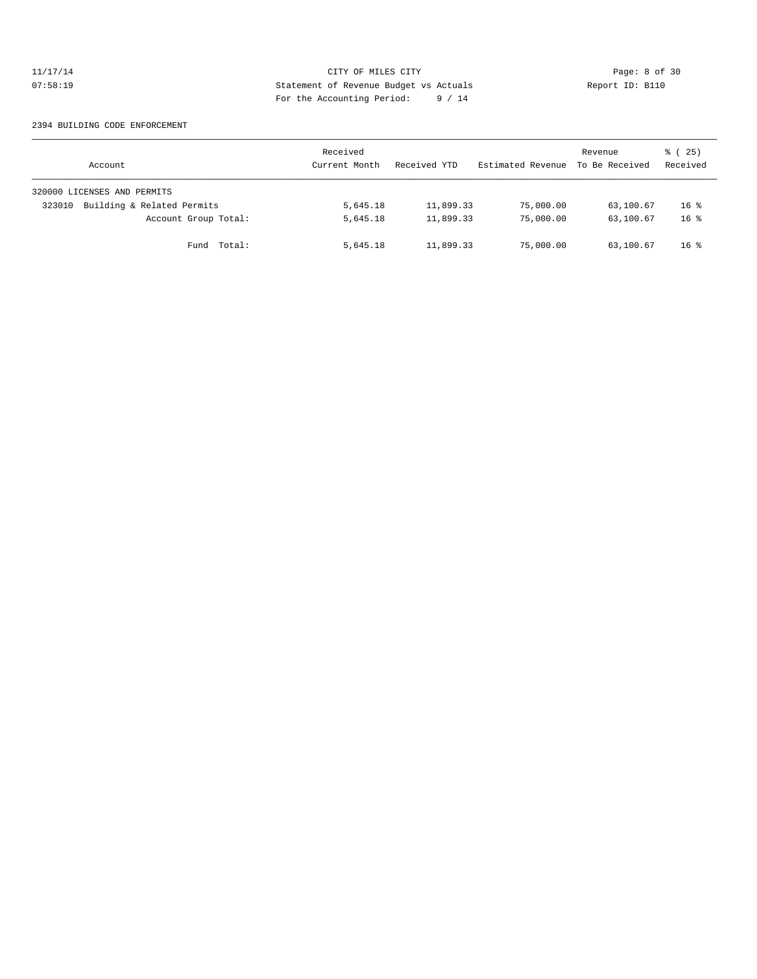## 11/17/14 CITY OF MILES CITY Page: 8 of 30 07:58:19 Statement of Revenue Budget vs Actuals Report ID: B110 For the Accounting Period: 9 / 14

#### 2394 BUILDING CODE ENFORCEMENT

| Account                              | Received<br>Current Month | Received YTD | Estimated Revenue | Revenue<br>To Be Received | 8 (25)<br>Received |
|--------------------------------------|---------------------------|--------------|-------------------|---------------------------|--------------------|
| 320000 LICENSES AND PERMITS          |                           |              |                   |                           |                    |
| Building & Related Permits<br>323010 | 5,645.18                  | 11,899.33    | 75,000.00         | 63,100.67                 | $16*$              |
| Account Group Total:                 | 5,645.18                  | 11,899.33    | 75,000.00         | 63,100.67                 | $16*$              |
| Fund Total:                          | 5,645.18                  | 11,899.33    | 75,000.00         | 63,100.67                 | $16*$              |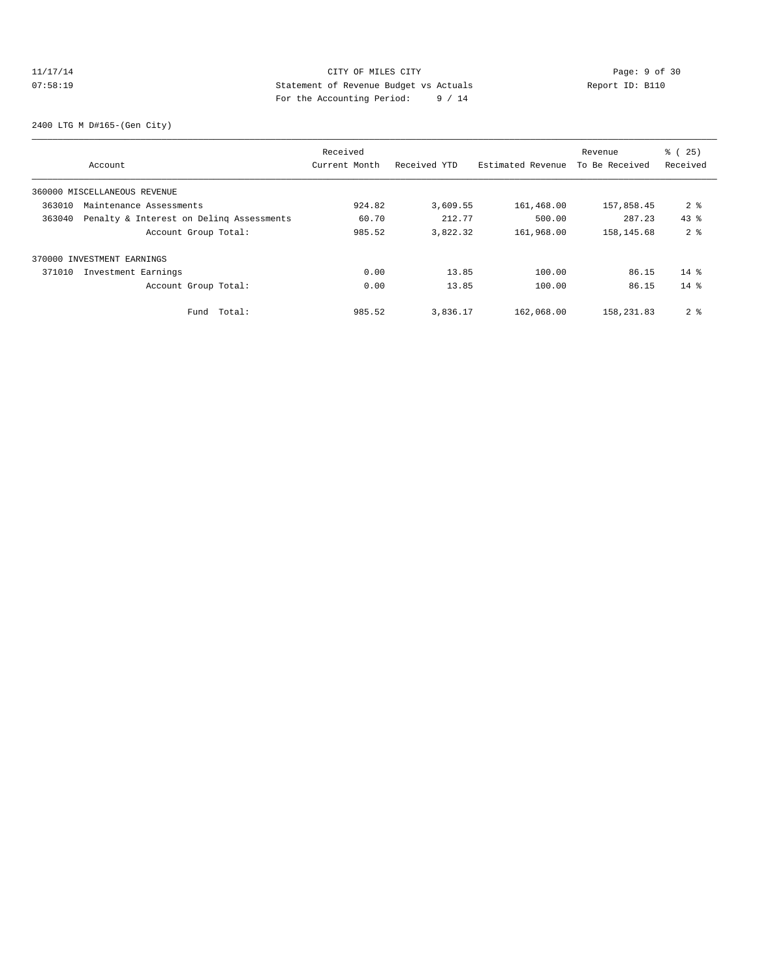## 11/17/14 CITY OF MILES CITY CHES CONTRACT Page: 9 of 30<br>07:58:19 Statement of Revenue Budget vs Actuals Report ID: B110<br>2011 Por the Accumulate Deviced: 2011 07:58:19 Statement of Revenue Budget vs Actuals Report ID: B110 For the Accounting Period: 9 / 14

2400 LTG M D#165-(Gen City)

|        |                                          | Received      |              |                   | Revenue        | % (25)         |
|--------|------------------------------------------|---------------|--------------|-------------------|----------------|----------------|
|        | Account                                  | Current Month | Received YTD | Estimated Revenue | To Be Received | Received       |
|        | 360000 MISCELLANEOUS REVENUE             |               |              |                   |                |                |
| 363010 | Maintenance Assessments                  | 924.82        | 3,609.55     | 161,468.00        | 157,858.45     | 2 <sub>8</sub> |
| 363040 | Penalty & Interest on Deling Assessments | 60.70         | 212.77       | 500.00            | 287.23         | $43*$          |
|        | Account Group Total:                     | 985.52        | 3,822.32     | 161,968.00        | 158,145.68     | 2 <sub>8</sub> |
|        | 370000 INVESTMENT EARNINGS               |               |              |                   |                |                |
| 371010 | Investment Earnings                      | 0.00          | 13.85        | 100.00            | 86.15          | $14*$          |
|        | Account Group Total:                     | 0.00          | 13.85        | 100.00            | 86.15          | $14*$          |
|        | Total:<br>Fund                           | 985.52        | 3,836.17     | 162,068.00        | 158,231.83     | 2 <sub>8</sub> |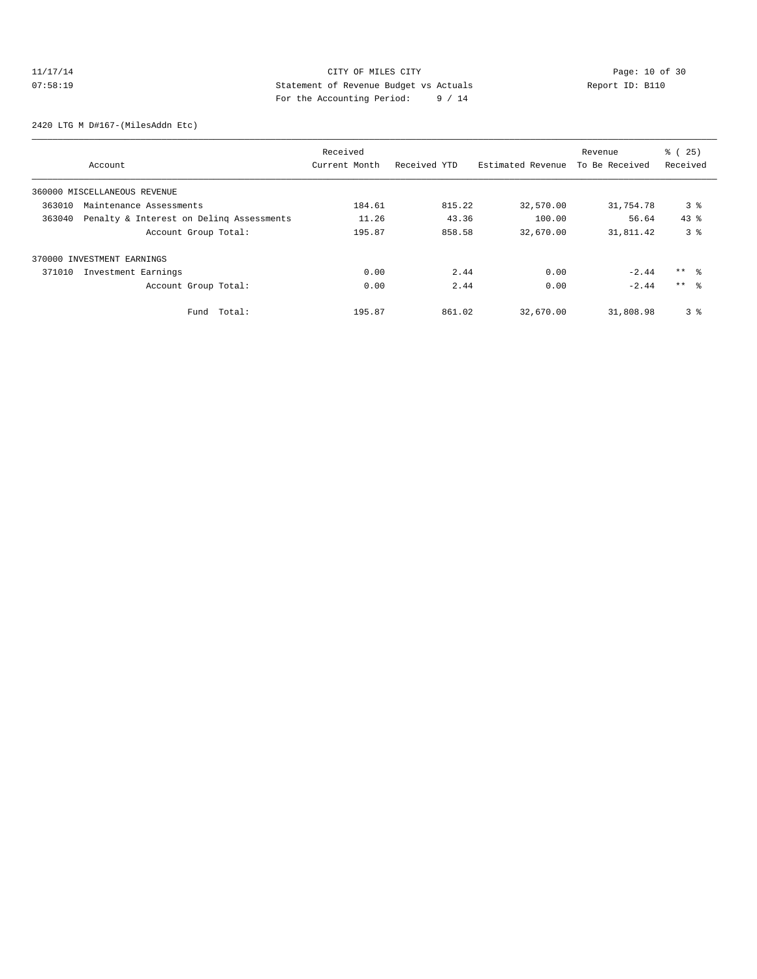# 11/17/14 Page: 10 of 30 07:58:19 Statement of Revenue Budget vs Actuals Report ID: B110 For the Accounting Period: 9 / 14

2420 LTG M D#167-(MilesAddn Etc)

|                            |                                          | Received      |              |                   | Revenue        | % (25)          |
|----------------------------|------------------------------------------|---------------|--------------|-------------------|----------------|-----------------|
|                            | Account                                  | Current Month | Received YTD | Estimated Revenue | To Be Received | Received        |
|                            | 360000 MISCELLANEOUS REVENUE             |               |              |                   |                |                 |
| 363010                     | Maintenance Assessments                  | 184.61        | 815.22       | 32,570.00         | 31,754.78      | 3 <sup>8</sup>  |
| 363040                     | Penalty & Interest on Deling Assessments | 11.26         | 43.36        | 100.00            | 56.64          | $43*$           |
|                            | Account Group Total:                     | 195.87        | 858.58       | 32,670.00         | 31,811.42      | 3%              |
| 370000 INVESTMENT EARNINGS |                                          |               |              |                   |                |                 |
| 371010                     | Investment Earnings                      | 0.00          | 2.44         | 0.00              | $-2.44$        | $***$ %         |
|                            | Account Group Total:                     | 0.00          | 2.44         | 0.00              | $-2.44$        | $***$ $\approx$ |
|                            | Total:<br>Fund                           | 195.87        | 861.02       | 32,670.00         | 31,808.98      | 3 <sup>8</sup>  |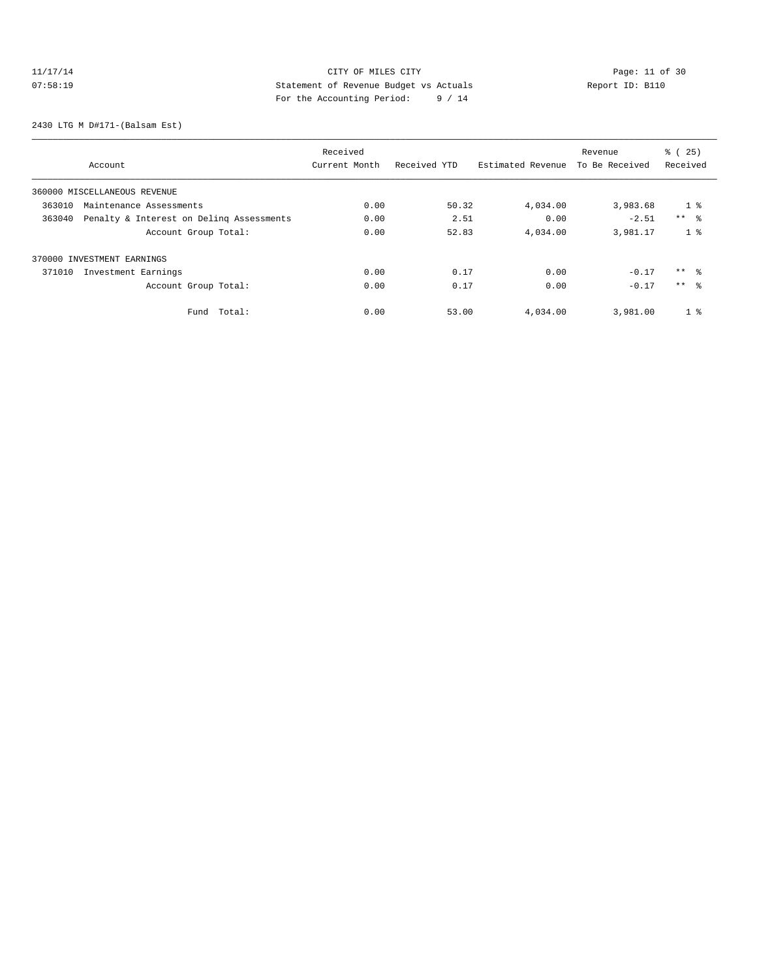# 11/17/14 Page: 11 of 30 07:58:19 Statement of Revenue Budget vs Actuals  $\sum_{n=1}^{\infty}$  Report ID: B110 For the Accounting Period: 9 / 14

2430 LTG M D#171-(Balsam Est)

|                                   |                                          | Received      |              |                   | Revenue        | % (25)          |
|-----------------------------------|------------------------------------------|---------------|--------------|-------------------|----------------|-----------------|
| Account                           |                                          | Current Month | Received YTD | Estimated Revenue | To Be Received | Received        |
| 360000 MISCELLANEOUS REVENUE      |                                          |               |              |                   |                |                 |
| 363010<br>Maintenance Assessments |                                          | 0.00          | 50.32        | 4,034.00          | 3,983.68       | 1 <sup>8</sup>  |
| 363040                            | Penalty & Interest on Deling Assessments | 0.00          | 2.51         | 0.00              | $-2.51$        | $***$ %         |
|                                   | Account Group Total:                     | 0.00          | 52.83        | 4,034.00          | 3,981.17       | 1 <sup>8</sup>  |
| 370000 INVESTMENT EARNINGS        |                                          |               |              |                   |                |                 |
| 371010<br>Investment Earnings     |                                          | 0.00          | 0.17         | 0.00              | $-0.17$        | $***$ %         |
|                                   | Account Group Total:                     | 0.00          | 0.17         | 0.00              | $-0.17$        | $***$ $\approx$ |
|                                   | Total:<br>Fund                           | 0.00          | 53.00        | 4,034.00          | 3,981.00       | 1 <sup>8</sup>  |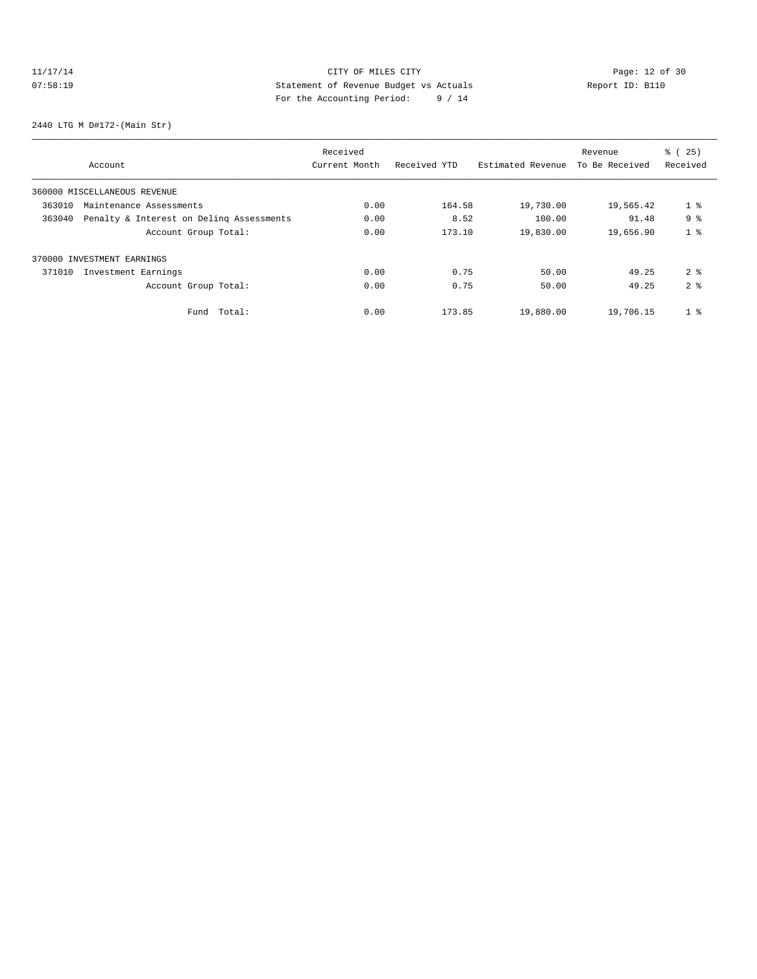# 11/17/14 Page: 12 of 30 07:58:19 Statement of Revenue Budget vs Actuals  $\sum_{n=1}^{\infty}$  Report ID: B110 For the Accounting Period: 9 / 14

2440 LTG M D#172-(Main Str)

|                                                    | Received      |              |                   | Revenue        | % (25)         |
|----------------------------------------------------|---------------|--------------|-------------------|----------------|----------------|
| Account                                            | Current Month | Received YTD | Estimated Revenue | To Be Received | Received       |
| 360000 MISCELLANEOUS REVENUE                       |               |              |                   |                |                |
| 363010<br>Maintenance Assessments                  | 0.00          | 164.58       | 19,730.00         | 19,565.42      | 1 <sup>8</sup> |
| 363040<br>Penalty & Interest on Deling Assessments | 0.00          | 8.52         | 100.00            | 91.48          | 9 <sup>8</sup> |
| Account Group Total:                               | 0.00          | 173.10       | 19,830.00         | 19,656.90      | 1 <sup>8</sup> |
| 370000 INVESTMENT EARNINGS                         |               |              |                   |                |                |
| 371010<br>Investment Earnings                      | 0.00          | 0.75         | 50.00             | 49.25          | 2 <sup>8</sup> |
| Account Group Total:                               | 0.00          | 0.75         | 50.00             | 49.25          | 2 <sup>8</sup> |
| Total:<br>Fund                                     | 0.00          | 173.85       | 19,880.00         | 19,706.15      | 1 <sup>8</sup> |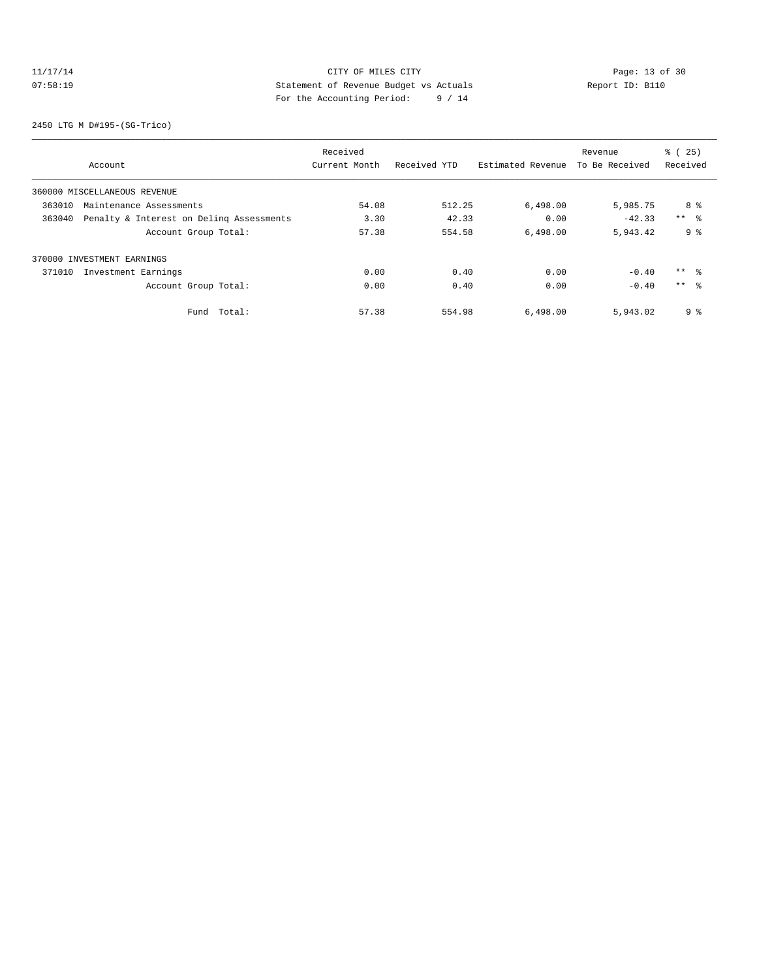# 11/17/14 Page: 13 of 30 07:58:19 Statement of Revenue Budget vs Actuals Report ID: B110 For the Accounting Period: 9 / 14

2450 LTG M D#195-(SG-Trico)

|                                                    | Received      |              |                   | Revenue        | % (25)          |
|----------------------------------------------------|---------------|--------------|-------------------|----------------|-----------------|
| Account                                            | Current Month | Received YTD | Estimated Revenue | To Be Received | Received        |
| 360000 MISCELLANEOUS REVENUE                       |               |              |                   |                |                 |
| 363010<br>Maintenance Assessments                  | 54.08         | 512.25       | 6,498.00          | 5,985.75       | 8 %             |
| 363040<br>Penalty & Interest on Deling Assessments | 3.30          | 42.33        | 0.00              | $-42.33$       | $***$ $ -$      |
| Account Group Total:                               | 57.38         | 554.58       | 6,498.00          | 5,943.42       | 9%              |
| 370000 INVESTMENT EARNINGS                         |               |              |                   |                |                 |
| 371010<br>Investment Earnings                      | 0.00          | 0.40         | 0.00              | $-0.40$        | $***$ 8         |
| Account Group Total:                               | 0.00          | 0.40         | 0.00              | $-0.40$        | $***$ $\approx$ |
| Total:<br>Fund                                     | 57.38         | 554.98       | 6,498.00          | 5,943.02       | 9%              |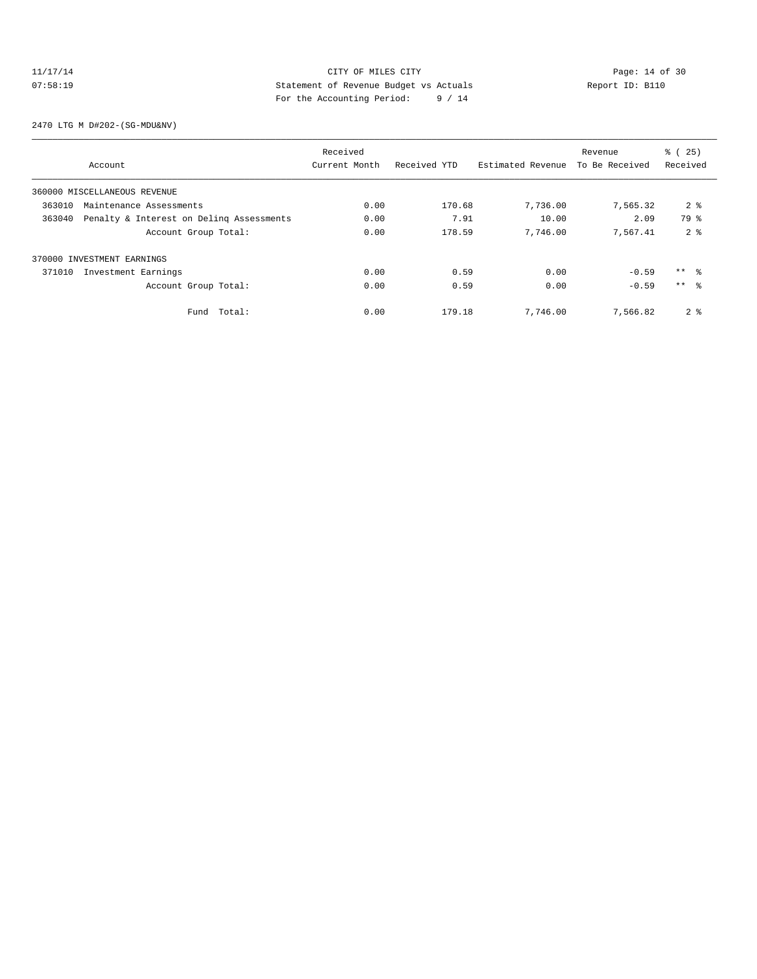## 11/17/14 Page: 14 of 30 07:58:19 Statement of Revenue Budget vs Actuals  $\sum_{n=1}^{\infty}$  Report ID: B110 For the Accounting Period: 9 / 14

2470 LTG M D#202-(SG-MDU&NV)

|        |                                          | Received      |              |                   | Revenue        | % (25)          |
|--------|------------------------------------------|---------------|--------------|-------------------|----------------|-----------------|
|        | Account                                  | Current Month | Received YTD | Estimated Revenue | To Be Received | Received        |
|        | 360000 MISCELLANEOUS REVENUE             |               |              |                   |                |                 |
| 363010 | Maintenance Assessments                  | 0.00          | 170.68       | 7,736.00          | 7,565.32       | 2 <sup>8</sup>  |
| 363040 | Penalty & Interest on Deling Assessments | 0.00          | 7.91         | 10.00             | 2.09           | 79 %            |
|        | Account Group Total:                     | 0.00          | 178.59       | 7,746.00          | 7.567.41       | 2 <sup>8</sup>  |
|        | 370000 INVESTMENT EARNINGS               |               |              |                   |                |                 |
| 371010 | Investment Earnings                      | 0.00          | 0.59         | 0.00              | $-0.59$        | $***$ $\approx$ |
|        | Account Group Total:                     | 0.00          | 0.59         | 0.00              | $-0.59$        | $***$ $\approx$ |
|        | Total:<br>Fund                           | 0.00          | 179.18       | 7,746.00          | 7,566.82       | 2 <sup>°</sup>  |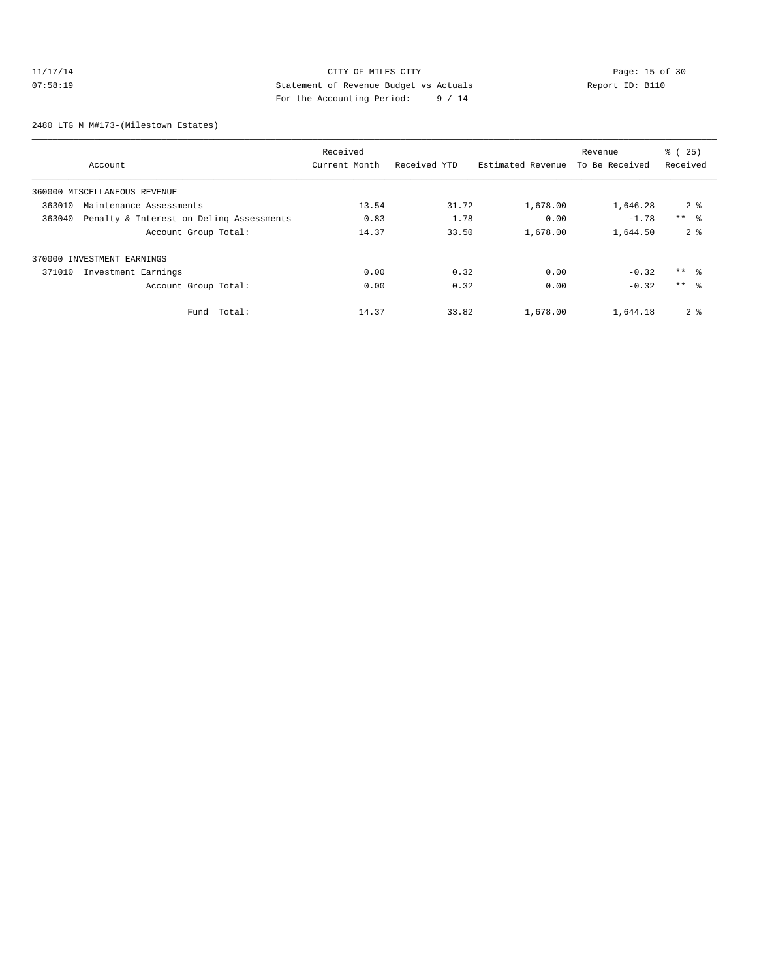## 11/17/14 Page: 15 of 30 07:58:19 Statement of Revenue Budget vs Actuals Report ID: B110 For the Accounting Period: 9 / 14

2480 LTG M M#173-(Milestown Estates)

|                                                    |        | Received      |              |                   | Revenue        | % (25)          |
|----------------------------------------------------|--------|---------------|--------------|-------------------|----------------|-----------------|
| Account                                            |        | Current Month | Received YTD | Estimated Revenue | To Be Received | Received        |
| 360000 MISCELLANEOUS REVENUE                       |        |               |              |                   |                |                 |
| 363010<br>Maintenance Assessments                  |        | 13.54         | 31.72        | 1,678.00          | 1,646.28       | 2 <sup>8</sup>  |
| Penalty & Interest on Deling Assessments<br>363040 |        | 0.83          | 1.78         | 0.00              | $-1.78$        | $***$ $\approx$ |
| Account Group Total:                               |        | 14.37         | 33.50        | 1,678.00          | 1,644.50       | 2 <sup>8</sup>  |
| 370000 INVESTMENT EARNINGS                         |        |               |              |                   |                |                 |
| 371010<br>Investment Earnings                      |        | 0.00          | 0.32         | 0.00              | $-0.32$        | $***$ %         |
| Account Group Total:                               |        | 0.00          | 0.32         | 0.00              | $-0.32$        | $***$ $\approx$ |
| Fund                                               | Total: | 14.37         | 33.82        | 1,678.00          | 1,644.18       | 2 <sub>8</sub>  |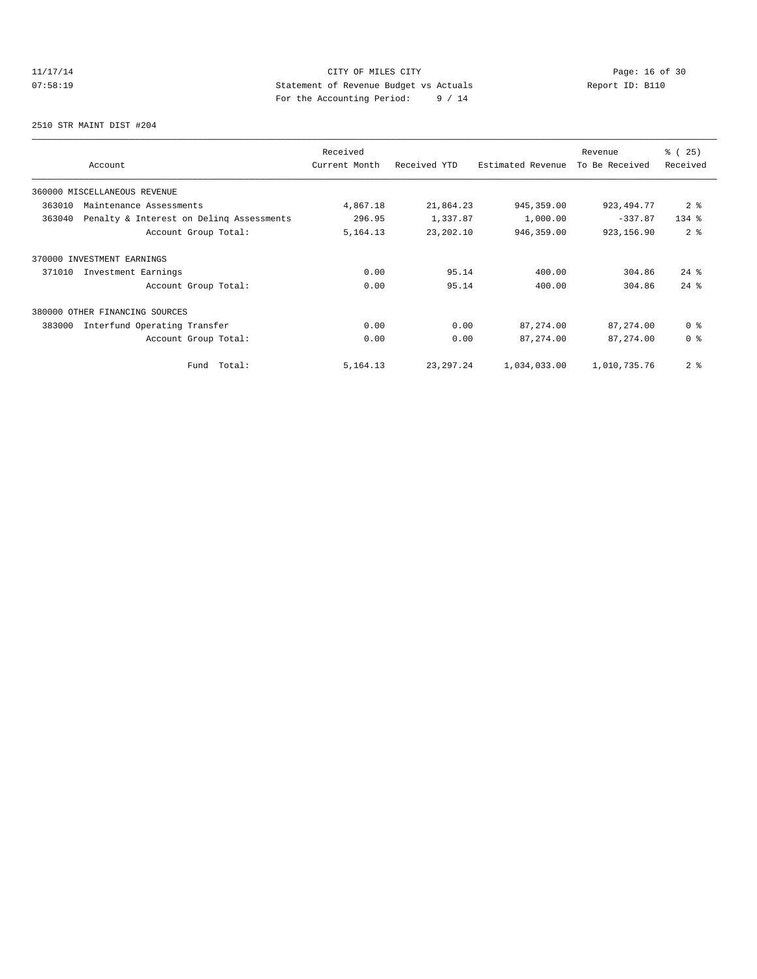# 11/17/14 Page: 16 of 30 07:58:19 Statement of Revenue Budget vs Actuals  $\sum_{n=1}^{\infty}$  Report ID: B110 For the Accounting Period: 9 / 14

2510 STR MAINT DIST #204

| Account                                            | Received<br>Current Month | Received YTD | Estimated Revenue | Revenue<br>To Be Received | % (25)<br>Received |
|----------------------------------------------------|---------------------------|--------------|-------------------|---------------------------|--------------------|
| 360000 MISCELLANEOUS REVENUE                       |                           |              |                   |                           |                    |
| 363010<br>Maintenance Assessments                  | 4,867.18                  | 21,864.23    | 945, 359.00       | 923, 494. 77              | 2 <sup>8</sup>     |
| Penalty & Interest on Deling Assessments<br>363040 | 296.95                    | 1,337.87     | 1,000.00          | $-337.87$                 | $134$ %            |
| Account Group Total:                               | 5, 164. 13                | 23, 202.10   | 946,359.00        | 923,156.90                | 2 <sup>8</sup>     |
| 370000 INVESTMENT EARNINGS                         |                           |              |                   |                           |                    |
| 371010<br>Investment Earnings                      | 0.00                      | 95.14        | 400.00            | 304.86                    | $24$ $%$           |
| Account Group Total:                               | 0.00                      | 95.14        | 400.00            | 304.86                    | $24$ $%$           |
| 380000 OTHER FINANCING SOURCES                     |                           |              |                   |                           |                    |
| 383000<br>Interfund Operating Transfer             | 0.00                      | 0.00         | 87, 274.00        | 87,274.00                 | 0 <sup>8</sup>     |
| Account Group Total:                               | 0.00                      | 0.00         | 87, 274.00        | 87,274.00                 | 0 <sup>8</sup>     |
| Total:<br>Fund                                     | 5, 164. 13                | 23, 297. 24  | 1,034,033.00      | 1,010,735.76              | 2 <sup>8</sup>     |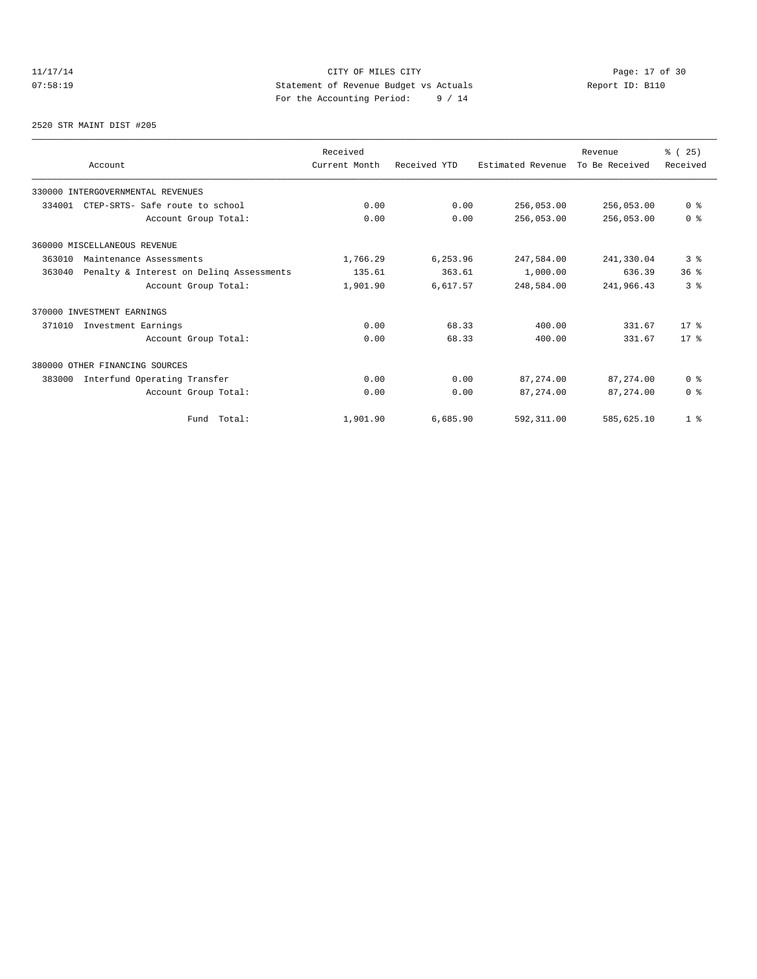# 11/17/14 Page: 17 of 30 07:58:19 Statement of Revenue Budget vs Actuals Report ID: B110<br>Report ID: B110 For the Accounting Period: 9 / 14

#### 2520 STR MAINT DIST #205

| Account                                            | Received<br>Current Month | Received YTD | Estimated Revenue | Revenue<br>To Be Received | % (25)<br>Received      |
|----------------------------------------------------|---------------------------|--------------|-------------------|---------------------------|-------------------------|
|                                                    |                           |              |                   |                           |                         |
| 330000 INTERGOVERNMENTAL REVENUES                  |                           |              |                   |                           |                         |
| 334001<br>CTEP-SRTS- Safe route to school          | 0.00                      | 0.00         | 256,053.00        | 256,053.00                | 0 <sup>8</sup>          |
| Account Group Total:                               | 0.00                      | 0.00         | 256,053.00        | 256,053.00                | 0 <sup>8</sup>          |
| 360000 MISCELLANEOUS REVENUE                       |                           |              |                   |                           |                         |
| 363010<br>Maintenance Assessments                  | 1,766.29                  | 6,253.96     | 247,584.00        | 241,330.04                | 3%                      |
| Penalty & Interest on Deling Assessments<br>363040 | 135.61                    | 363.61       | 1,000.00          | 636.39                    | 36%                     |
| Account Group Total:                               | 1,901.90                  | 6,617.57     | 248,584.00        | 241,966.43                | 3 <sup>8</sup>          |
| 370000 INVESTMENT EARNINGS                         |                           |              |                   |                           |                         |
| 371010<br>Investment Earnings                      | 0.00                      | 68.33        | 400.00            | 331.67                    | $17*$                   |
| Account Group Total:                               | 0.00                      | 68.33        | 400.00            | 331.67                    | $17*$                   |
| 380000 OTHER FINANCING SOURCES                     |                           |              |                   |                           |                         |
| Interfund Operating Transfer<br>383000             | 0.00                      | 0.00         | 87,274.00         | 87,274.00                 | 0 <sup>8</sup>          |
| Account Group Total:                               | 0.00                      | 0.00         | 87, 274, 00       | 87, 274, 00               | $0 \text{ }$ $\text{ }$ |
| Fund Total:                                        | 1,901.90                  | 6,685.90     | 592, 311.00       | 585,625.10                | 1 <sup>8</sup>          |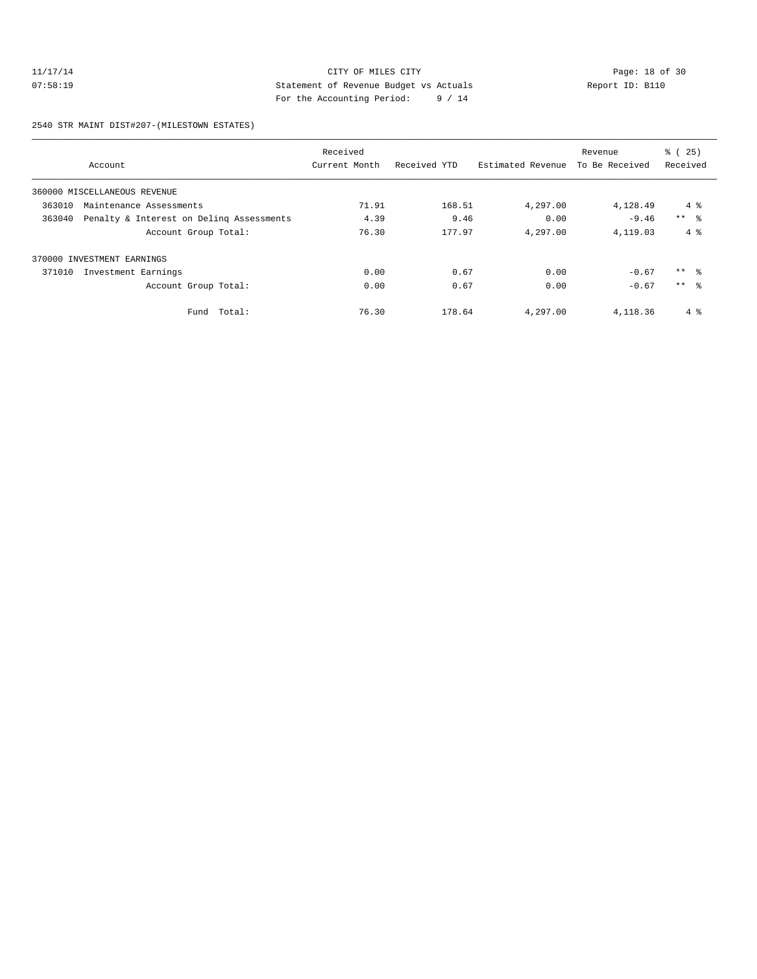## 11/17/14 Page: 18 of 30 07:58:19 COMPRESS Statement of Revenue Budget vs Actuals Report ID: B110 For the Accounting Period: 9 / 14

2540 STR MAINT DIST#207-(MILESTOWN ESTATES)

|        |                                          | Received      |              |                   | Revenue        | % (25)     |
|--------|------------------------------------------|---------------|--------------|-------------------|----------------|------------|
|        | Account                                  | Current Month | Received YTD | Estimated Revenue | To Be Received | Received   |
|        | 360000 MISCELLANEOUS REVENUE             |               |              |                   |                |            |
| 363010 | Maintenance Assessments                  | 71.91         | 168.51       | 4,297.00          | 4,128.49       | $4\degree$ |
| 363040 | Penalty & Interest on Deling Assessments | 4.39          | 9.46         | 0.00              | $-9.46$        | $***$ %    |
|        | Account Group Total:                     | 76.30         | 177.97       | 4,297.00          | 4,119.03       | $4\degree$ |
|        | 370000 INVESTMENT EARNINGS               |               |              |                   |                |            |
| 371010 | Investment Earnings                      | 0.00          | 0.67         | 0.00              | $-0.67$        | $***$ 8    |
|        | Account Group Total:                     | 0.00          | 0.67         | 0.00              | $-0.67$        | $***$ %    |
|        | Total:<br>Fund                           | 76.30         | 178.64       | 4,297.00          | 4,118.36       | $4\degree$ |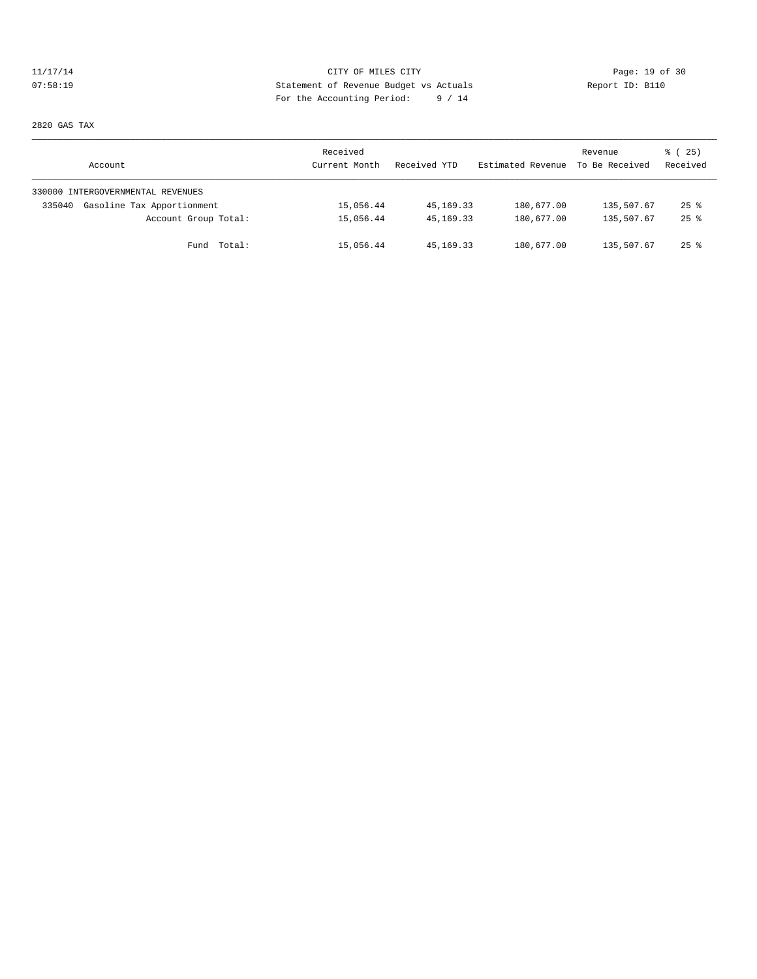# 11/17/14 Page: 19 of 30<br>
21/17/14 Page: 19 of 30<br>
21/17/14 Page: 19 of 30<br>
21/17/14 Page: 19 of 30<br>
21/17/14 Page: 19 of 30<br>
21/17/14 Page: 19 of 30<br>
21/17/14 Page: 19 of 30<br>
21/17/14 Page: 19 of 30<br>
21/17/14 Page: 19 of 3 07:58:19 Statement of Revenue Budget vs Actuals Report ID: B110 For the Accounting Period: 9 / 14

2820 GAS TAX

| Account                              | Received<br>Current Month | Received YTD | Estimated Revenue | Revenue<br>To Be Received | % (25)<br>Received |
|--------------------------------------|---------------------------|--------------|-------------------|---------------------------|--------------------|
| 330000 INTERGOVERNMENTAL REVENUES    |                           |              |                   |                           |                    |
| Gasoline Tax Apportionment<br>335040 | 15,056.44                 | 45,169.33    | 180,677.00        | 135,507.67                | $25$ $\frac{6}{3}$ |
| Account Group Total:                 | 15,056.44                 | 45, 169. 33  | 180,677.00        | 135,507.67                | $25$ $%$           |
| Fund Total:                          | 15,056.44                 | 45,169.33    | 180,677.00        | 135,507.67                | $25$ %             |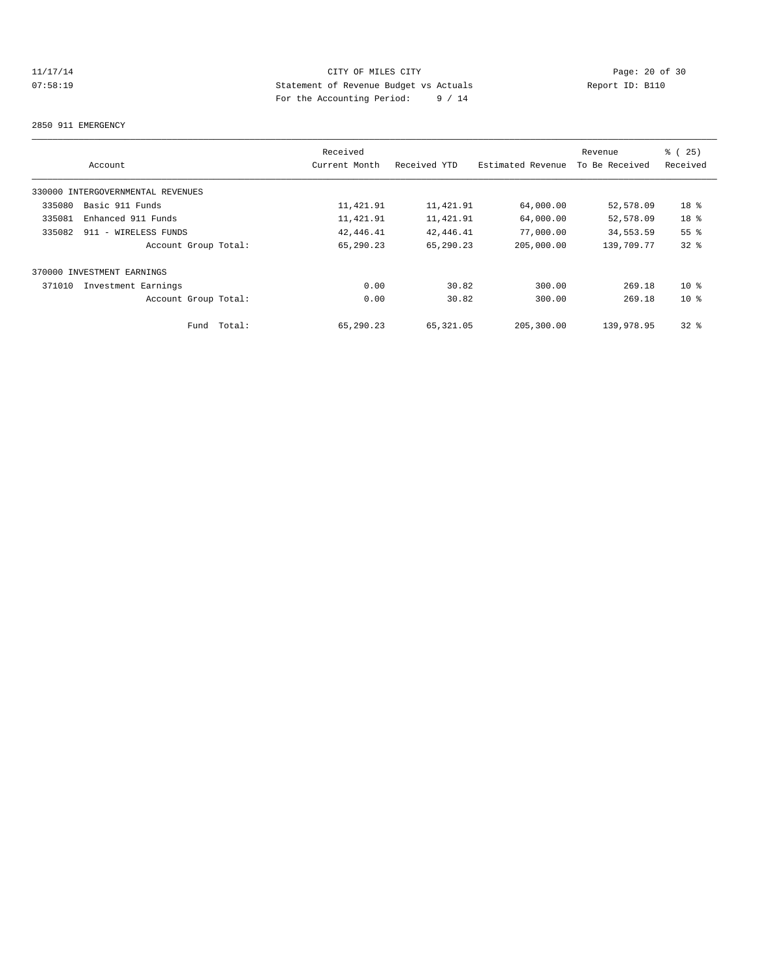# 11/17/14 Page: 20 of 30<br>
20 O7:58:19 CITY OF MILES CITY<br>
20 O7:58:19 Statement of Revenue Budget vs Actuals<br>
20 Of 30<br>
20 Of 30<br>
20 OF 30<br>
20 OF 30<br>
20 OF 30 07:58:19 Statement of Revenue Budget vs Actuals Report ID: B110 For the Accounting Period: 9 / 14

#### 2850 911 EMERGENCY

|        |                                   |        | Received      |              |                   | Revenue        | % (25)          |
|--------|-----------------------------------|--------|---------------|--------------|-------------------|----------------|-----------------|
|        | Account                           |        | Current Month | Received YTD | Estimated Revenue | To Be Received | Received        |
|        | 330000 INTERGOVERNMENTAL REVENUES |        |               |              |                   |                |                 |
| 335080 | Basic 911 Funds                   |        | 11,421.91     | 11,421.91    | 64,000.00         | 52,578.09      | 18 <sup>°</sup> |
| 335081 | Enhanced 911 Funds                |        | 11,421.91     | 11,421.91    | 64,000.00         | 52,578.09      | 18 %            |
| 335082 | 911 - WIRELESS FUNDS              |        | 42,446.41     | 42,446.41    | 77,000.00         | 34,553.59      | 55 <sup>8</sup> |
|        | Account Group Total:              |        | 65,290.23     | 65,290.23    | 205,000.00        | 139,709.77     | 328             |
|        | 370000 INVESTMENT EARNINGS        |        |               |              |                   |                |                 |
| 371010 | Investment Earnings               |        | 0.00          | 30.82        | 300.00            | 269.18         | $10*$           |
|        | Account Group Total:              |        | 0.00          | 30.82        | 300.00            | 269.18         | 10 <sup>8</sup> |
|        | Fund                              | Total: | 65,290.23     | 65,321.05    | 205,300.00        | 139,978.95     | 328             |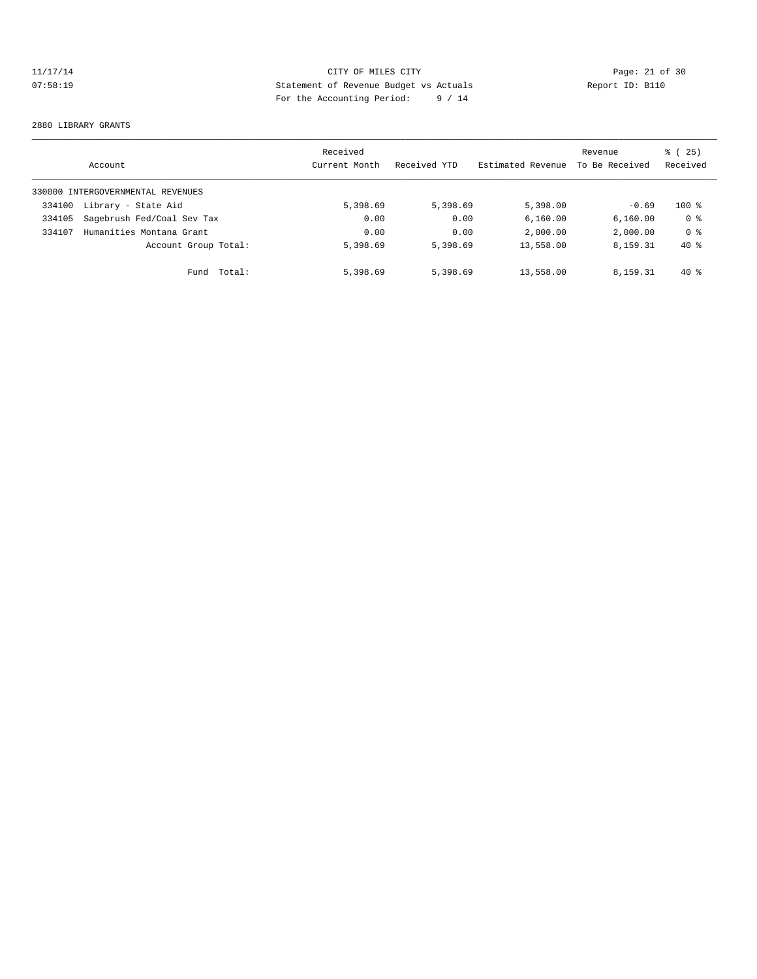# 11/17/14 Page: 21 of 30 07:58:19 Statement of Revenue Budget vs Actuals Report ID: B110 For the Accounting Period: 9 / 14

#### 2880 LIBRARY GRANTS

|        | Account                           |        | Received<br>Current Month | Received YTD | Estimated Revenue | Revenue<br>To Be Received | % (25)<br>Received |
|--------|-----------------------------------|--------|---------------------------|--------------|-------------------|---------------------------|--------------------|
|        | 330000 INTERGOVERNMENTAL REVENUES |        |                           |              |                   |                           |                    |
| 334100 | Library - State Aid               |        | 5,398.69                  | 5,398.69     | 5,398.00          | $-0.69$                   | $100*$             |
| 334105 | Sagebrush Fed/Coal Sev Tax        |        | 0.00                      | 0.00         | 6, 160.00         | 6, 160.00                 | 0 <sup>8</sup>     |
| 334107 | Humanities Montana Grant          |        | 0.00                      | 0.00         | 2,000.00          | 2,000.00                  | 0 <sup>8</sup>     |
|        | Account Group Total:              |        | 5,398.69                  | 5,398.69     | 13,558.00         | 8,159.31                  | $40*$              |
|        | Fund                              | Total: | 5,398.69                  | 5,398.69     | 13,558.00         | 8,159.31                  | $40*$              |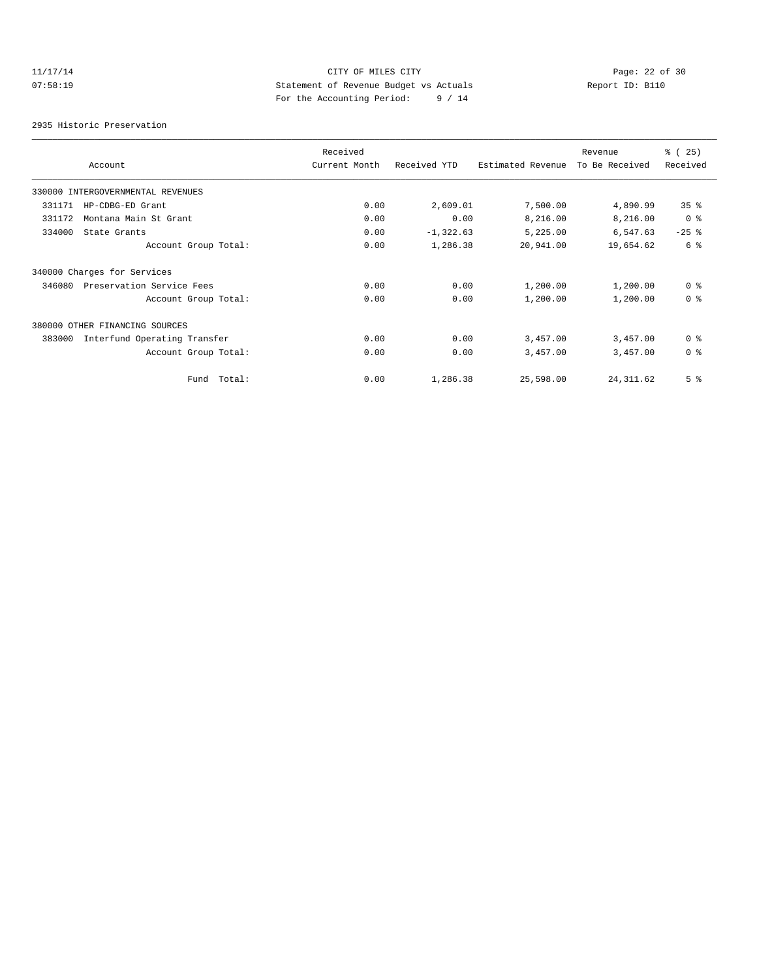# 11/17/14 Page: 22 of 30 07:58:19 Statement of Revenue Budget vs Actuals Report ID: B110 For the Accounting Period: 9 / 14

2935 Historic Preservation

|        |                                   | Received      |              |                   | Revenue        | % (25)         |
|--------|-----------------------------------|---------------|--------------|-------------------|----------------|----------------|
|        | Account                           | Current Month | Received YTD | Estimated Revenue | To Be Received | Received       |
|        | 330000 INTERGOVERNMENTAL REVENUES |               |              |                   |                |                |
| 331171 | HP-CDBG-ED Grant                  | 0.00          | 2,609.01     | 7,500.00          | 4,890.99       | 35%            |
| 331172 | Montana Main St Grant             | 0.00          | 0.00         | 8,216.00          | 8,216.00       | 0 <sup>8</sup> |
| 334000 | State Grants                      | 0.00          | $-1, 322.63$ | 5,225.00          | 6,547.63       | $-25$ %        |
|        | Account Group Total:              | 0.00          | 1,286.38     | 20,941.00         | 19,654.62      | 6 <sup>°</sup> |
|        | 340000 Charges for Services       |               |              |                   |                |                |
| 346080 | Preservation Service Fees         | 0.00          | 0.00         | 1,200.00          | 1,200.00       | 0 <sup>8</sup> |
|        | Account Group Total:              | 0.00          | 0.00         | 1,200.00          | 1,200.00       | 0 <sup>8</sup> |
|        | 380000 OTHER FINANCING SOURCES    |               |              |                   |                |                |
| 383000 | Interfund Operating Transfer      | 0.00          | 0.00         | 3,457.00          | 3,457.00       | 0 <sup>8</sup> |
|        | Account Group Total:              | 0.00          | 0.00         | 3,457.00          | 3,457.00       | 0 <sup>8</sup> |
|        | Fund Total:                       | 0.00          | 1,286.38     | 25,598.00         | 24, 311.62     | 5 <sup>8</sup> |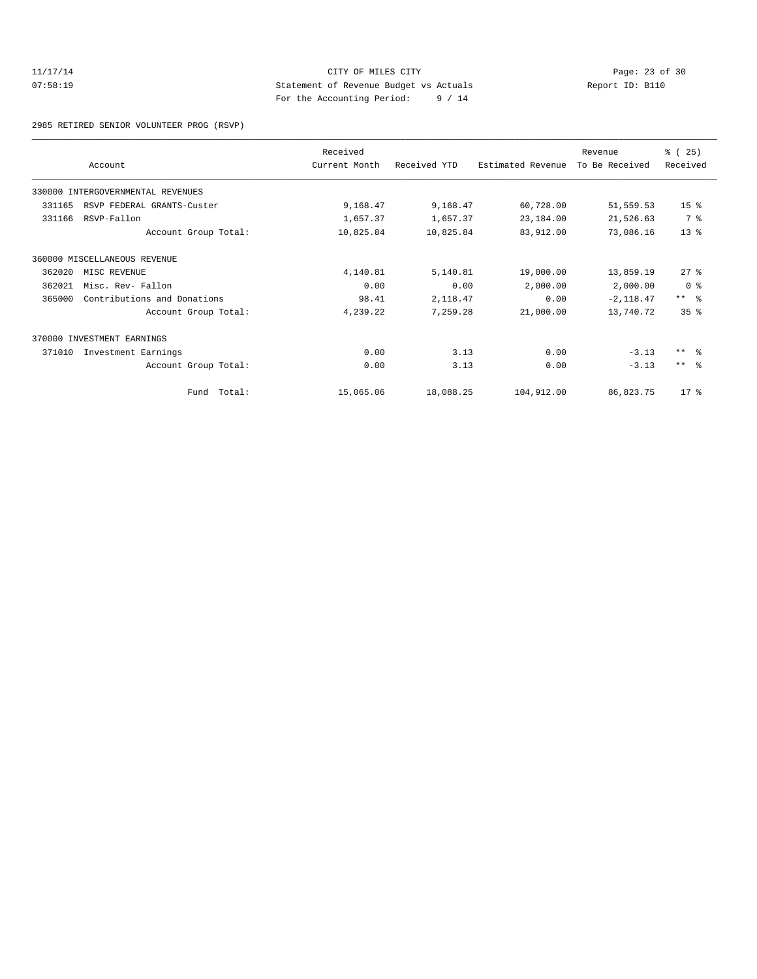## 11/17/14 Page: 23 of 30 07:58:19 Statement of Revenue Budget vs Actuals Report ID: B110 For the Accounting Period: 9 / 14

2985 RETIRED SENIOR VOLUNTEER PROG (RSVP)

|        | Account                           | Received<br>Current Month | Received YTD | Estimated Revenue | Revenue<br>To Be Received | % (25)<br>Received |
|--------|-----------------------------------|---------------------------|--------------|-------------------|---------------------------|--------------------|
|        | 330000 INTERGOVERNMENTAL REVENUES |                           |              |                   |                           |                    |
| 331165 | RSVP FEDERAL GRANTS-Custer        | 9,168.47                  | 9,168.47     | 60,728.00         | 51,559.53                 | 15 <sup>8</sup>    |
| 331166 | RSVP-Fallon                       | 1,657.37                  | 1,657.37     | 23,184.00         | 21,526.63                 | 7 %                |
|        | Account Group Total:              | 10,825.84                 | 10,825.84    | 83,912.00         | 73,086.16                 | $13*$              |
|        | 360000 MISCELLANEOUS REVENUE      |                           |              |                   |                           |                    |
| 362020 | MISC REVENUE                      | 4,140.81                  | 5,140.81     | 19,000.00         | 13,859.19                 | 27%                |
| 362021 | Misc. Rev- Fallon                 | 0.00                      | 0.00         | 2,000.00          | 2,000.00                  | 0 <sup>8</sup>     |
| 365000 | Contributions and Donations       | 98.41                     | 2,118.47     | 0.00              | $-2, 118.47$              | $***$ 8            |
|        | Account Group Total:              | 4,239.22                  | 7,259.28     | 21,000.00         | 13,740.72                 | 35%                |
|        | 370000 INVESTMENT EARNINGS        |                           |              |                   |                           |                    |
| 371010 | Investment Earnings               | 0.00                      | 3.13         | 0.00              | $-3.13$                   | $***$ $ -$         |
|        | Account Group Total:              | 0.00                      | 3.13         | 0.00              | $-3.13$                   | $***$ $\approx$    |
|        | Fund Total:                       | 15,065.06                 | 18,088.25    | 104,912.00        | 86,823.75                 | $17*$              |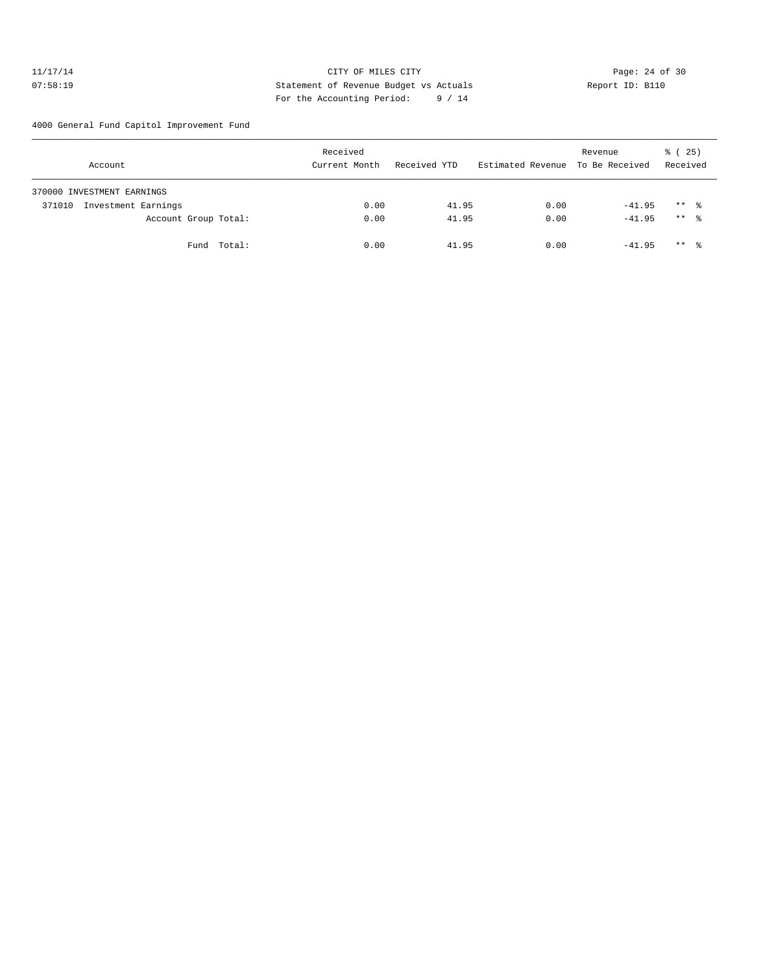## 11/17/14 Page: 24 of 30 07:58:19 Statement of Revenue Budget vs Actuals Report ID: B110 For the Accounting Period: 9 / 14

4000 General Fund Capitol Improvement Fund

| Account                       | Received<br>Current Month | Received YTD | Estimated Revenue To Be Received | Revenue  | $\frac{1}{6}$ ( 25)<br>Received |
|-------------------------------|---------------------------|--------------|----------------------------------|----------|---------------------------------|
| 370000 INVESTMENT EARNINGS    |                           |              |                                  |          |                                 |
| Investment Earnings<br>371010 | 0.00                      | 41.95        | 0.00                             | $-41.95$ | $***$ %                         |
| Account Group Total:          | 0.00                      | 41.95        | 0.00                             | $-41.95$ | $***$ %                         |
| Fund Total:                   | 0.00                      | 41.95        | 0.00                             | $-41.95$ | $***$ %                         |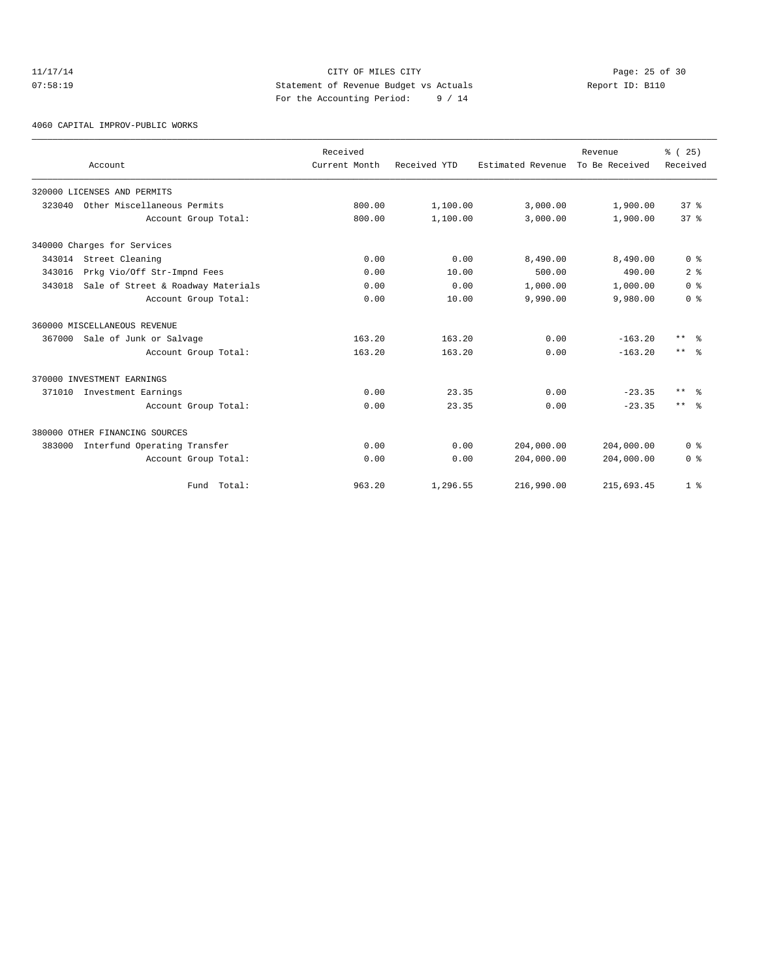## 11/17/14 Page: 25 of 30 07:58:19 Statement of Revenue Budget vs Actuals Report ID: B110 For the Accounting Period: 9 / 14

4060 CAPITAL IMPROV-PUBLIC WORKS

|        |                                    | Received<br>Current Month | Received YTD | Estimated Revenue | Revenue<br>To Be Received | % (25)<br>Received   |
|--------|------------------------------------|---------------------------|--------------|-------------------|---------------------------|----------------------|
|        | Account                            |                           |              |                   |                           |                      |
|        | 320000 LICENSES AND PERMITS        |                           |              |                   |                           |                      |
| 323040 | Other Miscellaneous Permits        | 800.00                    | 1,100.00     | 3,000.00          | 1,900.00                  | 37 <sup>8</sup>      |
|        | Account Group Total:               | 800.00                    | 1,100.00     | 3,000.00          | 1,900.00                  | 37 <sup>8</sup>      |
|        | 340000 Charges for Services        |                           |              |                   |                           |                      |
| 343014 | Street Cleaning                    | 0.00                      | 0.00         | 8,490.00          | 8,490.00                  | 0 <sup>8</sup>       |
| 343016 | Prkg Vio/Off Str-Impnd Fees        | 0.00                      | 10.00        | 500.00            | 490.00                    | 2 <sup>8</sup>       |
| 343018 | Sale of Street & Roadway Materials | 0.00                      | 0.00         | 1,000.00          | 1,000.00                  | 0 <sup>8</sup>       |
|        | Account Group Total:               | 0.00                      | 10.00        | 9,990.00          | 9,980.00                  | 0 <sup>8</sup>       |
|        | 360000 MISCELLANEOUS REVENUE       |                           |              |                   |                           |                      |
|        | 367000 Sale of Junk or Salvage     | 163.20                    | 163.20       | 0.00              | $-163.20$                 | $***$<br>- 옹         |
|        | Account Group Total:               | 163.20                    | 163.20       | 0.00              | $-163.20$                 | $***$ $ -$           |
|        | 370000 INVESTMENT EARNINGS         |                           |              |                   |                           |                      |
| 371010 | Investment Earnings                | 0.00                      | 23.35        | 0.00              | $-23.35$                  | $***$ $ \frac{6}{9}$ |
|        | Account Group Total:               | 0.00                      | 23.35        | 0.00              | $-23.35$                  | $***$ $\approx$      |
|        | 380000 OTHER FINANCING SOURCES     |                           |              |                   |                           |                      |
| 383000 | Interfund Operating Transfer       | 0.00                      | 0.00         | 204,000.00        | 204,000.00                | 0 <sup>8</sup>       |
|        | Account Group Total:               | 0.00                      | 0.00         | 204,000.00        | 204,000.00                | 0 <sup>8</sup>       |
|        | Fund Total:                        | 963.20                    | 1,296.55     | 216,990.00        | 215,693.45                | 1 <sup>8</sup>       |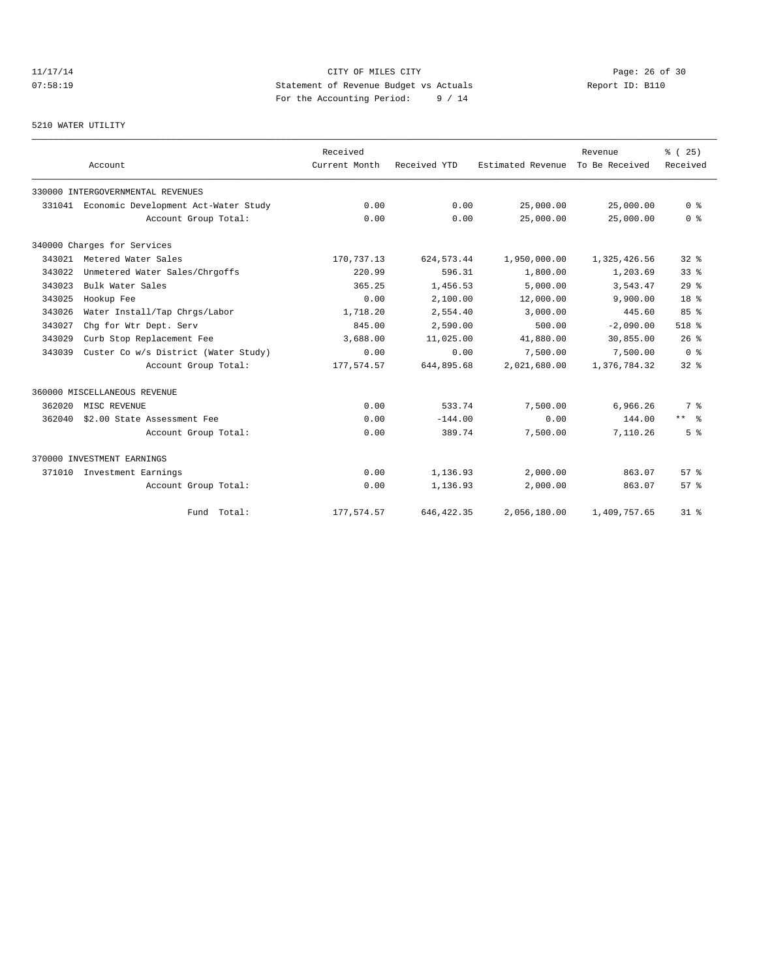# 11/17/14 Page: 26 of 30 07:58:19 Statement of Revenue Budget vs Actuals Report ID: B110 For the Accounting Period: 9 / 14

#### 5210 WATER UTILITY

|        | Account                              | Received<br>Current Month | Received YTD | Estimated Revenue | Revenue<br>To Be Received | % (25)<br>Received |
|--------|--------------------------------------|---------------------------|--------------|-------------------|---------------------------|--------------------|
|        | 330000 INTERGOVERNMENTAL REVENUES    |                           |              |                   |                           |                    |
| 331041 | Economic Development Act-Water Study | 0.00                      | 0.00         | 25,000.00         | 25,000.00                 | 0 <sup>8</sup>     |
|        | Account Group Total:                 | 0.00                      | 0.00         | 25,000.00         | 25,000.00                 | 0 <sup>8</sup>     |
|        | 340000 Charges for Services          |                           |              |                   |                           |                    |
| 343021 | Metered Water Sales                  | 170,737.13                | 624, 573.44  | 1,950,000.00      | 1,325,426.56              | $32*$              |
| 343022 | Unmetered Water Sales/Chrgoffs       | 220.99                    | 596.31       | 1,800.00          | 1,203.69                  | 33 <sup>8</sup>    |
| 343023 | Bulk Water Sales                     | 365.25                    | 1,456.53     | 5,000.00          | 3,543.47                  | 29%                |
| 343025 | Hookup Fee                           | 0.00                      | 2,100.00     | 12,000.00         | 9,900.00                  | 18 <sup>8</sup>    |
| 343026 | Water Install/Tap Chrgs/Labor        | 1,718.20                  | 2,554.40     | 3,000.00          | 445.60                    | 85%                |
| 343027 | Chq for Wtr Dept. Serv               | 845.00                    | 2,590.00     | 500.00            | $-2,090.00$               | $518$ %            |
| 343029 | Curb Stop Replacement Fee            | 3,688,00                  | 11,025.00    | 41,880.00         | 30,855.00                 | 26%                |
| 343039 | Custer Co w/s District (Water Study) | 0.00                      | 0.00         | 7,500.00          | 7,500.00                  | 0 <sup>8</sup>     |
|        | Account Group Total:                 | 177,574.57                | 644,895.68   | 2,021,680.00      | 1,376,784.32              | $32*$              |
|        | 360000 MISCELLANEOUS REVENUE         |                           |              |                   |                           |                    |
| 362020 | MISC REVENUE                         | 0.00                      | 533.74       | 7,500.00          | 6,966.26                  | 7 %                |
| 362040 | \$2.00 State Assessment Fee          | 0.00                      | $-144.00$    | 0.00              | 144.00                    | $***$ $\approx$    |
|        | Account Group Total:                 | 0.00                      | 389.74       | 7,500.00          | 7,110.26                  | 5 <sup>8</sup>     |
|        | 370000 INVESTMENT EARNINGS           |                           |              |                   |                           |                    |
| 371010 | Investment Earnings                  | 0.00                      | 1,136.93     | 2,000.00          | 863.07                    | 57%                |
|        | Account Group Total:                 | 0.00                      | 1,136.93     | 2,000.00          | 863.07                    | 57%                |
|        | Fund Total:                          | 177,574.57                | 646, 422.35  | 2,056,180.00      | 1,409,757.65              | $31*$              |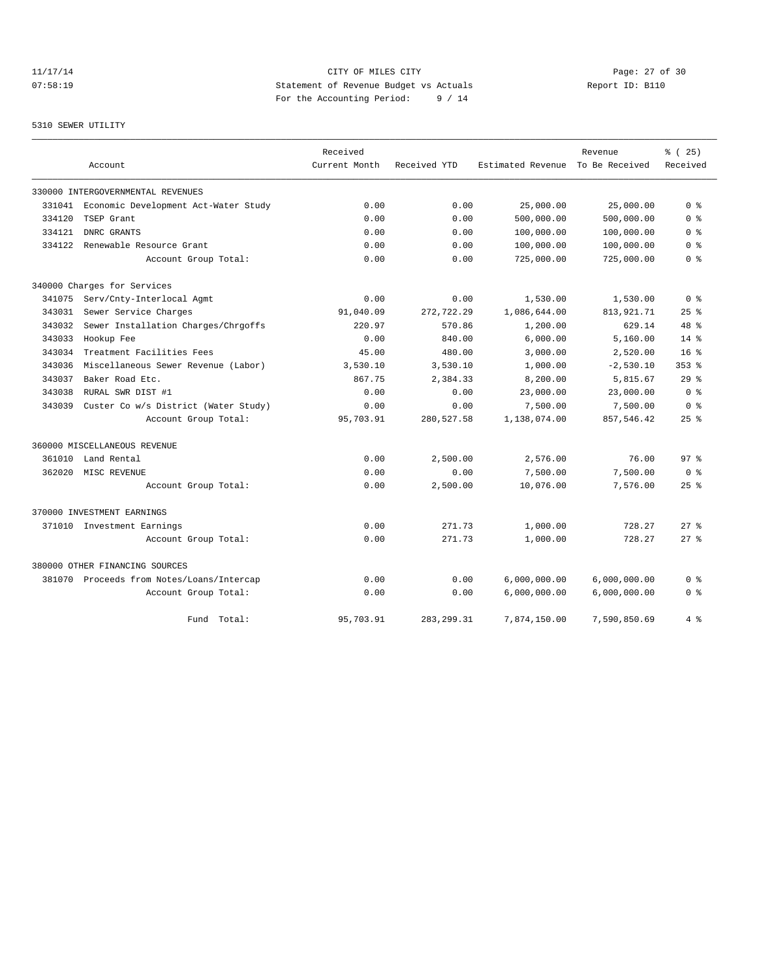# 11/17/14 Page: 27 of 30 07:58:19 Statement of Revenue Budget vs Actuals Report ID: B110 For the Accounting Period: 9 / 14

#### 5310 SEWER UTILITY

|        |                                           | Received      |              |                   | Revenue        | 8 ( 25 )        |
|--------|-------------------------------------------|---------------|--------------|-------------------|----------------|-----------------|
|        | Account                                   | Current Month | Received YTD | Estimated Revenue | To Be Received | Received        |
|        | 330000 INTERGOVERNMENTAL REVENUES         |               |              |                   |                |                 |
| 331041 | Economic Development Act-Water Study      | 0.00          | 0.00         | 25,000.00         | 25,000.00      | 0 <sup>8</sup>  |
| 334120 | TSEP Grant                                | 0.00          | 0.00         | 500,000.00        | 500,000.00     | 0 <sup>8</sup>  |
| 334121 | DNRC GRANTS                               | 0.00          | 0.00         | 100,000.00        | 100,000.00     | 0 %             |
| 334122 | Renewable Resource Grant                  | 0.00          | 0.00         | 100,000.00        | 100,000.00     | 0 <sup>8</sup>  |
|        | Account Group Total:                      | 0.00          | 0.00         | 725,000.00        | 725,000.00     | 0 %             |
|        | 340000 Charges for Services               |               |              |                   |                |                 |
| 341075 | Serv/Cnty-Interlocal Agmt                 | 0.00          | 0.00         | 1,530.00          | 1,530.00       | 0 <sup>8</sup>  |
| 343031 | Sewer Service Charges                     | 91,040.09     | 272,722.29   | 1,086,644.00      | 813, 921. 71   | 25%             |
| 343032 | Sewer Installation Charges/Chrgoffs       | 220.97        | 570.86       | 1,200.00          | 629.14         | 48 %            |
| 343033 | Hookup Fee                                | 0.00          | 840.00       | 6,000.00          | 5.160.00       | 14%             |
| 343034 | Treatment Facilities Fees                 | 45.00         | 480.00       | 3,000.00          | 2,520.00       | 16 <sup>8</sup> |
| 343036 | Miscellaneous Sewer Revenue (Labor)       | 3,530.10      | 3,530.10     | 1,000.00          | $-2,530.10$    | $353$ $%$       |
| 343037 | Baker Road Etc.                           | 867.75        | 2,384.33     | 8,200.00          | 5,815.67       | 29%             |
| 343038 | RURAL SWR DIST #1                         | 0.00          | 0.00         | 23,000.00         | 23,000.00      | 0 <sup>8</sup>  |
| 343039 | Custer Co w/s District (Water Study)      | 0.00          | 0.00         | 7,500.00          | 7,500.00       | 0 <sup>8</sup>  |
|        | Account Group Total:                      | 95,703.91     | 280,527.58   | 1,138,074.00      | 857,546.42     | 25%             |
|        | 360000 MISCELLANEOUS REVENUE              |               |              |                   |                |                 |
| 361010 | Land Rental                               | 0.00          | 2,500.00     | 2,576.00          | 76.00          | 97 <sup>8</sup> |
| 362020 | MISC REVENUE                              | 0.00          | 0.00         | 7,500.00          | 7,500.00       | 0 <sup>8</sup>  |
|        | Account Group Total:                      | 0.00          | 2,500.00     | 10,076.00         | 7,576.00       | $25$ %          |
|        | 370000 INVESTMENT EARNINGS                |               |              |                   |                |                 |
| 371010 | Investment Earnings                       | 0.00          | 271.73       | 1,000.00          | 728.27         | $27$ $%$        |
|        | Account Group Total:                      | 0.00          | 271.73       | 1,000.00          | 728.27         | $27$ $\approx$  |
|        | 380000 OTHER FINANCING SOURCES            |               |              |                   |                |                 |
|        | 381070 Proceeds from Notes/Loans/Intercap | 0.00          | 0.00         | 6,000,000.00      | 6,000,000.00   | 0 %             |
|        | Account Group Total:                      | 0.00          | 0.00         | 6,000,000.00      | 6,000,000.00   | 0 <sup>8</sup>  |
|        | Fund Total:                               | 95,703.91     | 283, 299.31  | 7,874,150.00      | 7,590,850.69   | 4%              |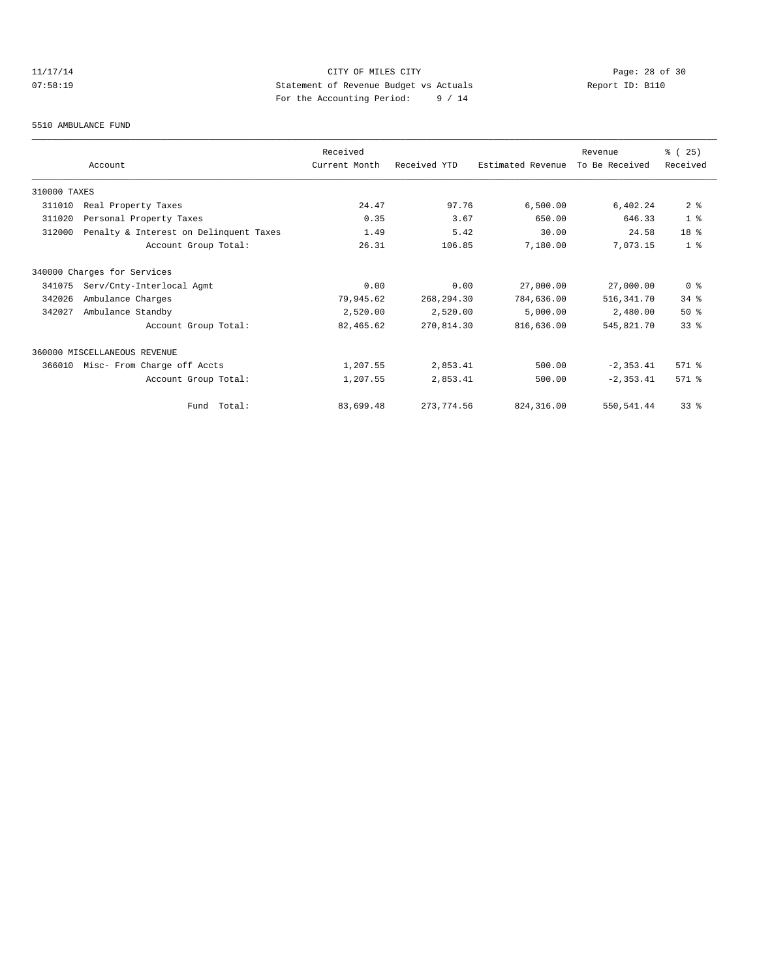# 11/17/14 Page: 28 of 30 07:58:19 Statement of Revenue Budget vs Actuals  $\sum_{n=1}^{\infty}$  Report ID: B110 For the Accounting Period: 9 / 14

#### 5510 AMBULANCE FUND

|              |                                        | Received      |              |                   | Revenue        | 8 (25)          |
|--------------|----------------------------------------|---------------|--------------|-------------------|----------------|-----------------|
|              | Account                                | Current Month | Received YTD | Estimated Revenue | To Be Received | Received        |
| 310000 TAXES |                                        |               |              |                   |                |                 |
| 311010       | Real Property Taxes                    | 24.47         | 97.76        | 6,500.00          | 6,402.24       | 2 <sup>°</sup>  |
| 311020       | Personal Property Taxes                | 0.35          | 3.67         | 650.00            | 646.33         | 1 <sup>8</sup>  |
| 312000       | Penalty & Interest on Delinquent Taxes | 1.49          | 5.42         | 30.00             | 24.58          | 18 %            |
|              | Account Group Total:                   | 26.31         | 106.85       | 7,180.00          | 7,073.15       | 1 <sup>8</sup>  |
|              | 340000 Charges for Services            |               |              |                   |                |                 |
| 341075       | Serv/Cnty-Interlocal Agmt              | 0.00          | 0.00         | 27,000.00         | 27,000.00      | 0 <sup>8</sup>  |
| 342026       | Ambulance Charges                      | 79,945.62     | 268, 294.30  | 784,636.00        | 516,341.70     | $34$ $%$        |
| 342027       | Ambulance Standby                      | 2,520.00      | 2,520.00     | 5,000.00          | 2,480.00       | 50%             |
|              | Account Group Total:                   | 82,465.62     | 270,814.30   | 816,636.00        | 545,821.70     | 33 <sup>8</sup> |
|              | 360000 MISCELLANEOUS REVENUE           |               |              |                   |                |                 |
| 366010       | Misc- From Charge off Accts            | 1,207.55      | 2,853.41     | 500.00            | $-2, 353.41$   | 571 %           |
|              | Account Group Total:                   | 1,207.55      | 2,853.41     | 500.00            | $-2, 353.41$   | 571 %           |
|              | Total:<br>Fund                         | 83,699.48     | 273, 774.56  | 824, 316, 00      | 550, 541.44    | 33%             |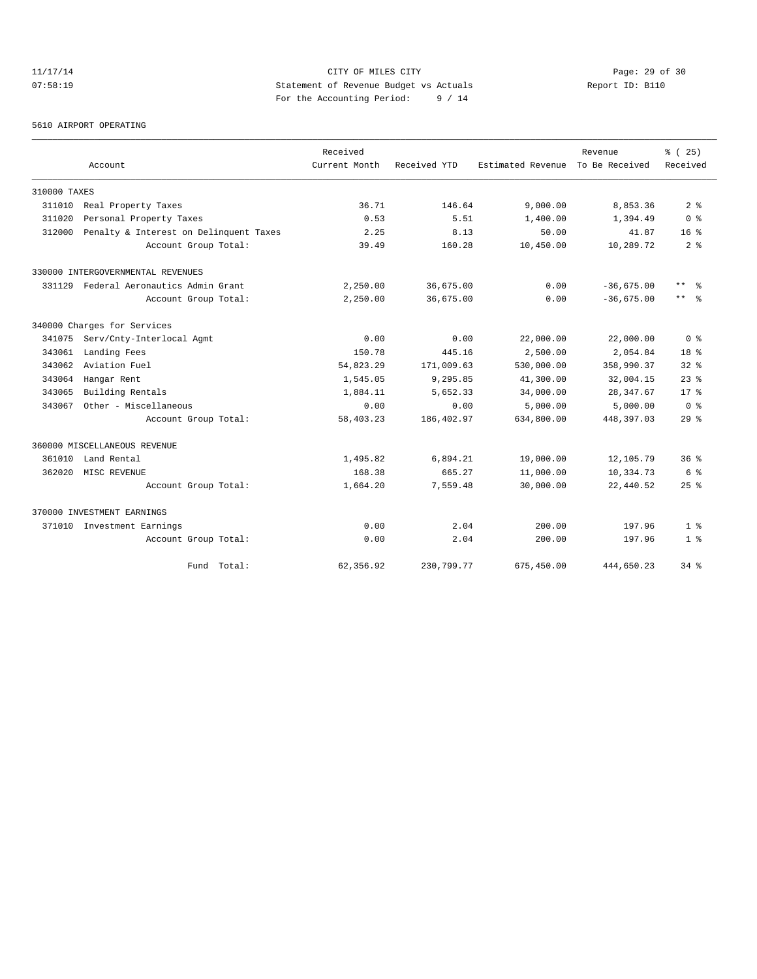# 11/17/14 Page: 29 of 30 07:58:19 Statement of Revenue Budget vs Actuals Report ID: B110 For the Accounting Period: 9 / 14

#### 5610 AIRPORT OPERATING

|              |                                        | Received      |              |                   | Revenue        | % (25)             |
|--------------|----------------------------------------|---------------|--------------|-------------------|----------------|--------------------|
|              | Account                                | Current Month | Received YTD | Estimated Revenue | To Be Received | Received           |
| 310000 TAXES |                                        |               |              |                   |                |                    |
| 311010       | Real Property Taxes                    | 36.71         | 146.64       | 9,000.00          | 8,853.36       | 2 <sup>8</sup>     |
| 311020       | Personal Property Taxes                | 0.53          | 5.51         | 1,400.00          | 1,394.49       | 0 <sup>8</sup>     |
| 312000       | Penalty & Interest on Delinquent Taxes | 2.25          | 8.13         | 50.00             | 41.87          | $16*$              |
|              | Account Group Total:                   | 39.49         | 160.28       | 10,450.00         | 10,289.72      | 2 <sup>8</sup>     |
|              | 330000 INTERGOVERNMENTAL REVENUES      |               |              |                   |                |                    |
| 331129       | Federal Aeronautics Admin Grant        | 2,250.00      | 36,675.00    | 0.00              | $-36,675.00$   | $***$<br>- 옹       |
|              | Account Group Total:                   | 2,250.00      | 36,675.00    | 0.00              | $-36,675.00$   | $***$ $\approx$    |
|              | 340000 Charges for Services            |               |              |                   |                |                    |
| 341075       | Serv/Cnty-Interlocal Agmt              | 0.00          | 0.00         | 22,000.00         | 22,000.00      | 0 <sup>8</sup>     |
| 343061       | Landing Fees                           | 150.78        | 445.16       | 2,500.00          | 2,054.84       | 18 <sup>8</sup>    |
| 343062       | Aviation Fuel                          | 54,823.29     | 171,009.63   | 530,000.00        | 358,990.37     | 328                |
| 343064       | Hangar Rent                            | 1,545.05      | 9,295.85     | 41,300.00         | 32,004.15      | $23$ $%$           |
| 343065       | Building Rentals                       | 1,884.11      | 5,652.33     | 34,000.00         | 28, 347.67     | 17 <sup>°</sup>    |
| 343067       | Other - Miscellaneous                  | 0.00          | 0.00         | 5,000.00          | 5,000.00       | 0 <sup>8</sup>     |
|              | Account Group Total:                   | 58,403.23     | 186,402.97   | 634,800.00        | 448,397.03     | $29$ %             |
|              | 360000 MISCELLANEOUS REVENUE           |               |              |                   |                |                    |
| 361010       | Land Rental                            | 1,495.82      | 6,894.21     | 19,000.00         | 12,105.79      | 36 <sup>8</sup>    |
| 362020       | MISC REVENUE                           | 168.38        | 665.27       | 11,000.00         | 10,334.73      | 6 %                |
|              | Account Group Total:                   | 1,664.20      | 7,559.48     | 30,000.00         | 22,440.52      | $25$ $\frac{6}{5}$ |
|              | 370000 INVESTMENT EARNINGS             |               |              |                   |                |                    |
| 371010       | Investment Earnings                    | 0.00          | 2.04         | 200.00            | 197.96         | 1 <sup>8</sup>     |
|              | Account Group Total:                   | 0.00          | 2.04         | 200.00            | 197.96         | 1 <sup>8</sup>     |
|              | Fund Total:                            | 62,356.92     | 230,799.77   | 675,450.00        | 444,650.23     | $34$ $%$           |